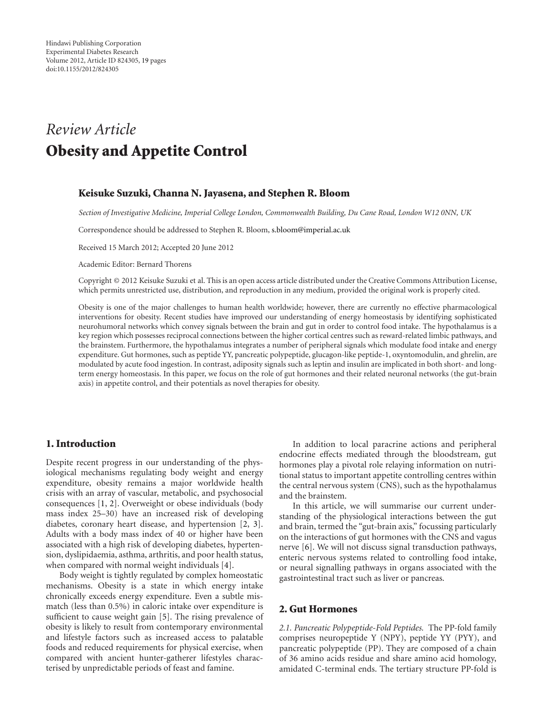# *Review Article* **Obesity and Appetite Control**

## **Keisuke Suzuki, Channa N. Jayasena, and Stephen R. Bloom**

*Section of Investigative Medicine, Imperial College London, Commonwealth Building, Du Cane Road, London W12 0NN, UK*

Correspondence should be addressed to Stephen R. Bloom, [s.bloom@imperial.ac.uk](mailto:s.bloom@imperial.ac.uk)

Received 15 March 2012; Accepted 20 June 2012

Academic Editor: Bernard Thorens

Copyright © 2012 Keisuke Suzuki et al. This is an open access article distributed under the Creative Commons Attribution License, which permits unrestricted use, distribution, and reproduction in any medium, provided the original work is properly cited.

Obesity is one of the major challenges to human health worldwide; however, there are currently no effective pharmacological interventions for obesity. Recent studies have improved our understanding of energy homeostasis by identifying sophisticated neurohumoral networks which convey signals between the brain and gut in order to control food intake. The hypothalamus is a key region which possesses reciprocal connections between the higher cortical centres such as reward-related limbic pathways, and the brainstem. Furthermore, the hypothalamus integrates a number of peripheral signals which modulate food intake and energy expenditure. Gut hormones, such as peptide YY, pancreatic polypeptide, glucagon-like peptide-1, oxyntomodulin, and ghrelin, are modulated by acute food ingestion. In contrast, adiposity signals such as leptin and insulin are implicated in both short- and longterm energy homeostasis. In this paper, we focus on the role of gut hormones and their related neuronal networks (the gut-brain axis) in appetite control, and their potentials as novel therapies for obesity.

# **1. Introduction**

Despite recent progress in our understanding of the physiological mechanisms regulating body weight and energy expenditure, obesity remains a major worldwide health crisis with an array of vascular, metabolic, and psychosocial consequences [\[1](#page-10-1), [2\]](#page-10-2). Overweight or obese individuals (body mass index 25–30) have an increased risk of developing diabetes, coronary heart disease, and hypertension [\[2](#page-10-2), [3\]](#page-10-3). Adults with a body mass index of 40 or higher have been associated with a high risk of developing diabetes, hypertension, dyslipidaemia, asthma, arthritis, and poor health status, when compared with normal weight individuals [\[4\]](#page-10-4).

Body weight is tightly regulated by complex homeostatic mechanisms. Obesity is a state in which energy intake chronically exceeds energy expenditure. Even a subtle mismatch (less than 0.5%) in caloric intake over expenditure is sufficient to cause weight gain [\[5](#page-10-5)]. The rising prevalence of obesity is likely to result from contemporary environmental and lifestyle factors such as increased access to palatable foods and reduced requirements for physical exercise, when compared with ancient hunter-gatherer lifestyles characterised by unpredictable periods of feast and famine.

In addition to local paracrine actions and peripheral endocrine effects mediated through the bloodstream, gut hormones play a pivotal role relaying information on nutritional status to important appetite controlling centres within the central nervous system (CNS), such as the hypothalamus and the brainstem.

In this article, we will summarise our current understanding of the physiological interactions between the gut and brain, termed the "gut-brain axis," focussing particularly on the interactions of gut hormones with the CNS and vagus nerve [\[6\]](#page-10-6). We will not discuss signal transduction pathways, enteric nervous systems related to controlling food intake, or neural signalling pathways in organs associated with the gastrointestinal tract such as liver or pancreas.

### **2. Gut Hormones**

*2.1. Pancreatic Polypeptide-Fold Peptides.* The PP-fold family comprises neuropeptide Y (NPY), peptide YY (PYY), and pancreatic polypeptide (PP). They are composed of a chain of 36 amino acids residue and share amino acid homology, amidated C-terminal ends. The tertiary structure PP-fold is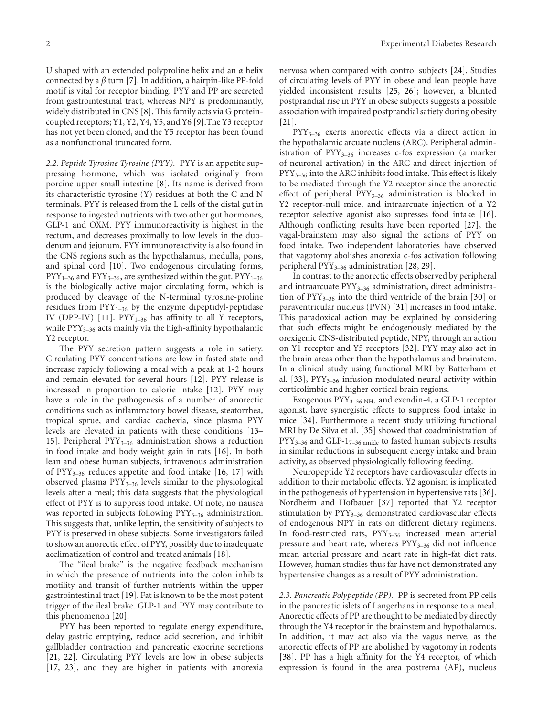U shaped with an extended polyproline helix and an *α* helix connected by a *β* turn [\[7\]](#page-10-7). In addition, a hairpin-like PP-fold motif is vital for receptor binding. PYY and PP are secreted from gastrointestinal tract, whereas NPY is predominantly, widely distributed in CNS [\[8\]](#page-10-8). This family acts via G proteincoupled receptors; Y1, Y2, Y4, Y5, and Y6 [\[9](#page-10-9)].The Y3 receptor has not yet been cloned, and the Y5 receptor has been found as a nonfunctional truncated form.

*2.2. Peptide Tyrosine Tyrosine (PYY).* PYY is an appetite suppressing hormone, which was isolated originally from porcine upper small intestine [\[8](#page-10-8)]. Its name is derived from its characteristic tyrosine (Y) residues at both the C and N terminals. PYY is released from the L cells of the distal gut in response to ingested nutrients with two other gut hormones, GLP-1 and OXM. PYY immunoreactivity is highest in the rectum, and decreases proximally to low levels in the duodenum and jejunum. PYY immunoreactivity is also found in the CNS regions such as the hypothalamus, medulla, pons, and spinal cord [\[10\]](#page-10-10). Two endogenous circulating forms,  $PYY_{1-36}$  and  $PYY_{3-36}$ , are synthesized within the gut.  $PYY_{1-36}$ is the biologically active major circulating form, which is produced by cleavage of the N-terminal tyrosine-proline residues from  $PYY_{1-36}$  by the enzyme dipeptidyl-peptidase IV (DPP-IV) [\[11](#page-10-11)].  $PYY_{1-36}$  has affinity to all Y receptors, while  $PYY_{3-36}$  acts mainly via the high-affinity hypothalamic Y2 receptor.

The PYY secretion pattern suggests a role in satiety. Circulating PYY concentrations are low in fasted state and increase rapidly following a meal with a peak at 1-2 hours and remain elevated for several hours [\[12\]](#page-10-12). PYY release is increased in proportion to calorie intake [\[12](#page-10-12)]. PYY may have a role in the pathogenesis of a number of anorectic conditions such as inflammatory bowel disease, steatorrhea, tropical sprue, and cardiac cachexia, since plasma PYY levels are elevated in patients with these conditions [\[13–](#page-10-13) [15](#page-11-0)]. Peripheral  $PYY_{3-36}$  administration shows a reduction in food intake and body weight gain in rats [\[16\]](#page-11-1). In both lean and obese human subjects, intravenous administration of PYY3–36 reduces appetite and food intake [\[16,](#page-11-1) [17\]](#page-11-2) with observed plasma  $PYY_{3-36}$  levels similar to the physiological levels after a meal; this data suggests that the physiological effect of PYY is to suppress food intake. Of note, no nausea was reported in subjects following  $PYY_{3-36}$  administration. This suggests that, unlike leptin, the sensitivity of subjects to PYY is preserved in obese subjects. Some investigators failed to show an anorectic effect of PYY, possibly due to inadequate acclimatization of control and treated animals [\[18](#page-11-3)].

The "ileal brake" is the negative feedback mechanism in which the presence of nutrients into the colon inhibits motility and transit of further nutrients within the upper gastrointestinal tract [\[19](#page-11-4)]. Fat is known to be the most potent trigger of the ileal brake. GLP-1 and PYY may contribute to this phenomenon [\[20\]](#page-11-5).

PYY has been reported to regulate energy expenditure, delay gastric emptying, reduce acid secretion, and inhibit gallbladder contraction and pancreatic exocrine secretions [\[21,](#page-11-6) [22](#page-11-7)]. Circulating PYY levels are low in obese subjects [\[17,](#page-11-2) [23](#page-11-8)], and they are higher in patients with anorexia nervosa when compared with control subjects [\[24\]](#page-11-9). Studies of circulating levels of PYY in obese and lean people have yielded inconsistent results [\[25,](#page-11-10) [26\]](#page-11-11); however, a blunted postprandial rise in PYY in obese subjects suggests a possible association with impaired postprandial satiety during obesity [\[21\]](#page-11-6).

PYY3–36 exerts anorectic effects via a direct action in the hypothalamic arcuate nucleus (ARC). Peripheral administration of  $PYY_{3-36}$  increases c-fos expression (a marker of neuronal activation) in the ARC and direct injection of PYY<sub>3-36</sub> into the ARC inhibits food intake. This effect is likely to be mediated through the Y2 receptor since the anorectic effect of peripheral PYY3–36 administration is blocked in Y2 receptor-null mice, and intraarcuate injection of a Y2 receptor selective agonist also supresses food intake [\[16\]](#page-11-1). Although conflicting results have been reported [\[27\]](#page-11-12), the vagal-brainstem may also signal the actions of PYY on food intake. Two independent laboratories have observed that vagotomy abolishes anorexia c-fos activation following peripheral PYY3–36 administration [\[28](#page-11-13), [29](#page-11-14)].

In contrast to the anorectic effects observed by peripheral and intraarcuate  $PYY_{3-36}$  administration, direct administration of  $PYY_{3-36}$  into the third ventricle of the brain [\[30](#page-11-15)] or paraventricular nucleus (PVN) [\[31](#page-11-16)] increases in food intake. This paradoxical action may be explained by considering that such effects might be endogenously mediated by the orexigenic CNS-distributed peptide, NPY, through an action on Y1 receptor and Y5 receptors [\[32](#page-11-17)]. PYY may also act in the brain areas other than the hypothalamus and brainstem. In a clinical study using functional MRI by Batterham et al.  $[33]$  $[33]$ ,  $PYY_{3-36}$  infusion modulated neural activity within corticolimbic and higher cortical brain regions.

Exogenous PYY<sub>3-36 NH<sub>2</sub> and exendin-4, a GLP-1 receptor</sub> agonist, have synergistic effects to suppress food intake in mice [\[34\]](#page-11-19). Furthermore a recent study utilizing functional MRI by De Silva et al. [\[35](#page-11-20)] showed that coadministration of  $PYY_{3-36}$  and GLP-1<sub>7-36 amide</sub> to fasted human subjects results in similar reductions in subsequent energy intake and brain activity, as observed physiologically following feeding.

Neuropeptide Y2 receptors have cardiovascular effects in addition to their metabolic effects. Y2 agonism is implicated in the pathogenesis of hypertension in hypertensive rats [\[36\]](#page-11-21). Nordheim and Hofbauer [\[37](#page-11-22)] reported that Y2 receptor stimulation by  $PYY_{3-36}$  demonstrated cardiovascular effects of endogenous NPY in rats on different dietary regimens. In food-restricted rats, PYY<sub>3-36</sub> increased mean arterial pressure and heart rate, whereas  $PYY_{3-36}$  did not influence mean arterial pressure and heart rate in high-fat diet rats. However, human studies thus far have not demonstrated any hypertensive changes as a result of PYY administration.

*2.3. Pancreatic Polypeptide (PP).* PP is secreted from PP cells in the pancreatic islets of Langerhans in response to a meal. Anorectic effects of PP are thought to be mediated by directly through the Y4 receptor in the brainstem and hypothalamus. In addition, it may act also via the vagus nerve, as the anorectic effects of PP are abolished by vagotomy in rodents [\[38\]](#page-11-23). PP has a high affinity for the Y4 receptor, of which expression is found in the area postrema (AP), nucleus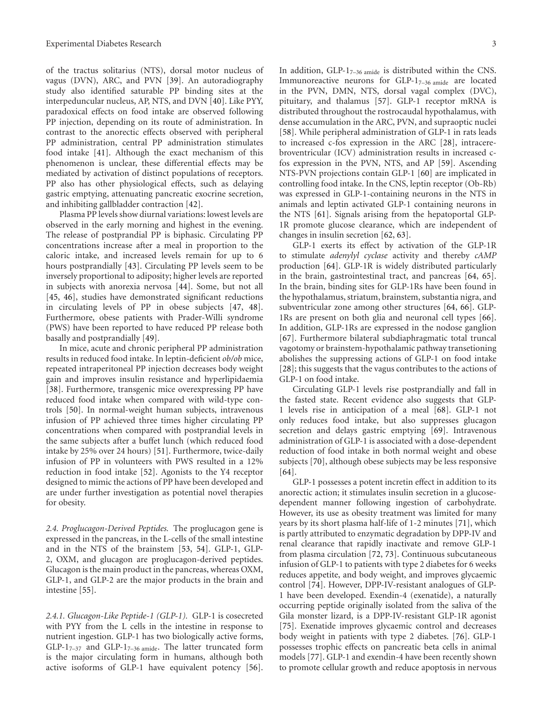of the tractus solitarius (NTS), dorsal motor nucleus of vagus (DVN), ARC, and PVN [\[39](#page-11-24)]. An autoradiography study also identified saturable PP binding sites at the interpeduncular nucleus, AP, NTS, and DVN [\[40\]](#page-11-25). Like PYY, paradoxical effects on food intake are observed following PP injection, depending on its route of administration. In contrast to the anorectic effects observed with peripheral PP administration, central PP administration stimulates food intake [\[41\]](#page-11-26). Although the exact mechanism of this phenomenon is unclear, these differential effects may be mediated by activation of distinct populations of receptors. PP also has other physiological effects, such as delaying gastric emptying, attenuating pancreatic exocrine secretion, and inhibiting gallbladder contraction [\[42](#page-11-27)].

Plasma PP levels show diurnal variations: lowest levels are observed in the early morning and highest in the evening. The release of postprandial PP is biphasic. Circulating PP concentrations increase after a meal in proportion to the caloric intake, and increased levels remain for up to 6 hours postprandially [\[43\]](#page-11-28). Circulating PP levels seem to be inversely proportional to adiposity; higher levels are reported in subjects with anorexia nervosa [\[44](#page-11-29)]. Some, but not all [\[45,](#page-11-30) [46\]](#page-11-31), studies have demonstrated significant reductions in circulating levels of PP in obese subjects [\[47,](#page-12-0) [48\]](#page-12-1). Furthermore, obese patients with Prader-Willi syndrome (PWS) have been reported to have reduced PP release both basally and postprandially [\[49](#page-12-2)].

In mice, acute and chronic peripheral PP administration results in reduced food intake. In leptin-deficient *ob/ob* mice, repeated intraperitoneal PP injection decreases body weight gain and improves insulin resistance and hyperlipidaemia [\[38\]](#page-11-23). Furthermore, transgenic mice overexpressing PP have reduced food intake when compared with wild-type controls [\[50\]](#page-12-3). In normal-weight human subjects, intravenous infusion of PP achieved three times higher circulating PP concentrations when compared with postprandial levels in the same subjects after a buffet lunch (which reduced food intake by 25% over 24 hours) [\[51\]](#page-12-4). Furthermore, twice-daily infusion of PP in volunteers with PWS resulted in a 12% reduction in food intake [\[52](#page-12-5)]. Agonists to the Y4 receptor designed to mimic the actions of PP have been developed and are under further investigation as potential novel therapies for obesity.

*2.4. Proglucagon-Derived Peptides.* The proglucagon gene is expressed in the pancreas, in the L-cells of the small intestine and in the NTS of the brainstem [\[53](#page-12-6), [54\]](#page-12-7). GLP-1, GLP-2, OXM, and glucagon are proglucagon-derived peptides. Glucagon is the main product in the pancreas, whereas OXM, GLP-1, and GLP-2 are the major products in the brain and intestine [\[55](#page-12-8)].

*2.4.1. Glucagon-Like Peptide-1 (GLP-1).* GLP-1 is cosecreted with PYY from the L cells in the intestine in response to nutrient ingestion. GLP-1 has two biologically active forms,  $GLP-1_{7-37}$  and  $GLP-1_{7-36 \text{ amide}}$ . The latter truncated form is the major circulating form in humans, although both active isoforms of GLP-1 have equivalent potency [\[56\]](#page-12-9). In addition,  $GLP-1_{7-36 \text{ amide}}$  is distributed within the CNS. Immunoreactive neurons for  $GLP-1_{7-36 \text{ amide}}$  are located

in the PVN, DMN, NTS, dorsal vagal complex (DVC), pituitary, and thalamus [\[57](#page-12-10)]. GLP-1 receptor mRNA is distributed throughout the rostrocaudal hypothalamus, with dense accumulation in the ARC, PVN, and supraoptic nuclei [\[58\]](#page-12-11). While peripheral administration of GLP-1 in rats leads to increased c-fos expression in the ARC [\[28](#page-11-13)], intracerebroventricular (ICV) administration results in increased cfos expression in the PVN, NTS, and AP [\[59](#page-12-12)]. Ascending NTS-PVN projections contain GLP-1 [\[60\]](#page-12-13) are implicated in controlling food intake. In the CNS, leptin receptor (Ob-Rb) was expressed in GLP-1-containing neurons in the NTS in animals and leptin activated GLP-1 containing neurons in the NTS [\[61](#page-12-14)]. Signals arising from the hepatoportal GLP-1R promote glucose clearance, which are independent of changes in insulin secretion [\[62](#page-12-15), [63](#page-12-16)].

GLP-1 exerts its effect by activation of the GLP-1R to stimulate *adenylyl cyclase* activity and thereby *cAMP* production [\[64\]](#page-12-17). GLP-1R is widely distributed particularly in the brain, gastrointestinal tract, and pancreas [\[64,](#page-12-17) [65\]](#page-12-18). In the brain, binding sites for GLP-1Rs have been found in the hypothalamus, striatum, brainstem, substantia nigra, and subventricular zone among other structures [\[64](#page-12-17), [66\]](#page-12-19). GLP-1Rs are present on both glia and neuronal cell types [\[66\]](#page-12-19). In addition, GLP-1Rs are expressed in the nodose ganglion [\[67\]](#page-12-20). Furthermore bilateral subdiaphragmatic total truncal vagotomy or brainstem-hypothalamic pathway transetioning abolishes the suppressing actions of GLP-1 on food intake [\[28\]](#page-11-13); this suggests that the vagus contributes to the actions of GLP-1 on food intake.

Circulating GLP-1 levels rise postprandially and fall in the fasted state. Recent evidence also suggests that GLP-1 levels rise in anticipation of a meal [\[68\]](#page-12-21). GLP-1 not only reduces food intake, but also suppresses glucagon secretion and delays gastric emptying [\[69](#page-12-22)]. Intravenous administration of GLP-1 is associated with a dose-dependent reduction of food intake in both normal weight and obese subjects [\[70\]](#page-12-23), although obese subjects may be less responsive [\[64\]](#page-12-17).

GLP-1 possesses a potent incretin effect in addition to its anorectic action; it stimulates insulin secretion in a glucosedependent manner following ingestion of carbohydrate. However, its use as obesity treatment was limited for many years by its short plasma half-life of 1-2 minutes [\[71](#page-12-24)], which is partly attributed to enzymatic degradation by DPP-IV and renal clearance that rapidly inactivate and remove GLP-1 from plasma circulation [\[72,](#page-12-25) [73](#page-12-26)]. Continuous subcutaneous infusion of GLP-1 to patients with type 2 diabetes for 6 weeks reduces appetite, and body weight, and improves glycaemic control [\[74\]](#page-12-27). However, DPP-IV-resistant analogues of GLP-1 have been developed. Exendin-4 (exenatide), a naturally occurring peptide originally isolated from the saliva of the Gila monster lizard, is a DPP-IV-resistant GLP-1R agonist [\[75\]](#page-12-28). Exenatide improves glycaemic control and decreases body weight in patients with type 2 diabetes. [\[76](#page-12-29)]. GLP-1 possesses trophic effects on pancreatic beta cells in animal models [\[77\]](#page-12-30). GLP-1 and exendin-4 have been recently shown to promote cellular growth and reduce apoptosis in nervous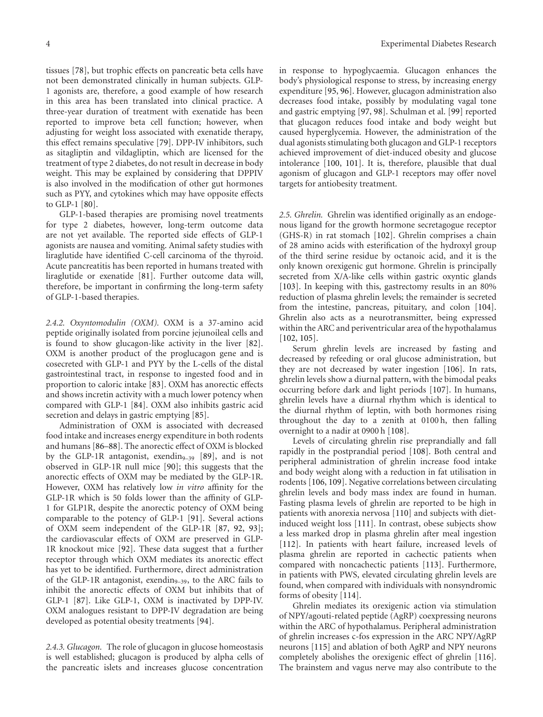tissues [\[78\]](#page-13-0), but trophic effects on pancreatic beta cells have not been demonstrated clinically in human subjects. GLP-1 agonists are, therefore, a good example of how research in this area has been translated into clinical practice. A three-year duration of treatment with exenatide has been reported to improve beta cell function; however, when adjusting for weight loss associated with exenatide therapy, this effect remains speculative [\[79\]](#page-13-1). DPP-IV inhibitors, such as sitagliptin and vildagliptin, which are licensed for the treatment of type 2 diabetes, do not result in decrease in body weight. This may be explained by considering that DPPIV is also involved in the modification of other gut hormones such as PYY, and cytokines which may have opposite effects to GLP-1 [\[80](#page-13-2)].

GLP-1-based therapies are promising novel treatments for type 2 diabetes, however, long-term outcome data are not yet available. The reported side effects of GLP-1 agonists are nausea and vomiting. Animal safety studies with liraglutide have identified C-cell carcinoma of the thyroid. Acute pancreatitis has been reported in humans treated with liraglutide or exenatide [\[81\]](#page-13-3). Further outcome data will, therefore, be important in confirming the long-term safety of GLP-1-based therapies.

*2.4.2. Oxyntomodulin (OXM).* OXM is a 37-amino acid peptide originally isolated from porcine jejunoileal cells and is found to show glucagon-like activity in the liver [\[82\]](#page-13-4). OXM is another product of the proglucagon gene and is cosecreted with GLP-1 and PYY by the L-cells of the distal gastrointestinal tract, in response to ingested food and in proportion to caloric intake [\[83\]](#page-13-5). OXM has anorectic effects and shows incretin activity with a much lower potency when compared with GLP-1 [\[84\]](#page-13-6). OXM also inhibits gastric acid secretion and delays in gastric emptying [\[85](#page-13-7)].

Administration of OXM is associated with decreased food intake and increases energy expenditure in both rodents and humans [\[86](#page-13-8)[–88\]](#page-13-9). The anorectic effect of OXM is blocked by the GLP-1R antagonist, exendin<sub>9–39</sub> [\[89\]](#page-13-10), and is not observed in GLP-1R null mice [\[90](#page-13-11)]; this suggests that the anorectic effects of OXM may be mediated by the GLP-1R. However, OXM has relatively low *in vitro* affinity for the GLP-1R which is 50 folds lower than the affinity of GLP-1 for GLP1R, despite the anorectic potency of OXM being comparable to the potency of GLP-1 [\[91](#page-13-12)]. Several actions of OXM seem independent of the GLP-1R [\[87](#page-13-13), [92](#page-13-14), [93\]](#page-13-15); the cardiovascular effects of OXM are preserved in GLP-1R knockout mice [\[92\]](#page-13-14). These data suggest that a further receptor through which OXM mediates its anorectic effect has yet to be identified. Furthermore, direct administration of the GLP-1R antagonist, exendin<sub>9-39</sub>, to the ARC fails to inhibit the anorectic effects of OXM but inhibits that of GLP-1 [\[87](#page-13-13)]. Like GLP-1, OXM is inactivated by DPP-IV. OXM analogues resistant to DPP-IV degradation are being developed as potential obesity treatments [\[94\]](#page-13-16).

*2.4.3. Glucagon.* The role of glucagon in glucose homeostasis is well established; glucagon is produced by alpha cells of the pancreatic islets and increases glucose concentration in response to hypoglycaemia. Glucagon enhances the body's physiological response to stress, by increasing energy expenditure [\[95,](#page-13-17) [96\]](#page-13-18). However, glucagon administration also decreases food intake, possibly by modulating vagal tone and gastric emptying [\[97](#page-13-19), [98\]](#page-13-20). Schulman et al. [\[99](#page-13-21)] reported that glucagon reduces food intake and body weight but caused hyperglycemia. However, the administration of the dual agonists stimulating both glucagon and GLP-1 receptors achieved improvement of diet-induced obesity and glucose intolerance [\[100](#page-13-22), [101](#page-13-23)]. It is, therefore, plausible that dual agonism of glucagon and GLP-1 receptors may offer novel targets for antiobesity treatment.

*2.5. Ghrelin.* Ghrelin was identified originally as an endogenous ligand for the growth hormone secretagogue receptor (GHS-R) in rat stomach [\[102\]](#page-13-24). Ghrelin comprises a chain of 28 amino acids with esterification of the hydroxyl group of the third serine residue by octanoic acid, and it is the only known orexigenic gut hormone. Ghrelin is principally secreted from X/A-like cells within gastric oxyntic glands [\[103\]](#page-13-25). In keeping with this, gastrectomy results in an 80% reduction of plasma ghrelin levels; the remainder is secreted from the intestine, pancreas, pituitary, and colon [\[104\]](#page-13-26). Ghrelin also acts as a neurotransmitter, being expressed within the ARC and periventricular area of the hypothalamus [\[102,](#page-13-24) [105\]](#page-13-27).

Serum ghrelin levels are increased by fasting and decreased by refeeding or oral glucose administration, but they are not decreased by water ingestion [\[106\]](#page-13-28). In rats, ghrelin levels show a diurnal pattern, with the bimodal peaks occurring before dark and light periods [\[107\]](#page-13-29). In humans, ghrelin levels have a diurnal rhythm which is identical to the diurnal rhythm of leptin, with both hormones rising throughout the day to a zenith at 0100 h, then falling overnight to a nadir at 0900 h [\[108](#page-13-30)].

Levels of circulating ghrelin rise preprandially and fall rapidly in the postprandial period [\[108](#page-13-30)]. Both central and peripheral administration of ghrelin increase food intake and body weight along with a reduction in fat utilisation in rodents [\[106,](#page-13-28) [109\]](#page-14-0). Negative correlations between circulating ghrelin levels and body mass index are found in human. Fasting plasma levels of ghrelin are reported to be high in patients with anorexia nervosa [\[110\]](#page-14-1) and subjects with dietinduced weight loss [\[111](#page-14-2)]. In contrast, obese subjects show a less marked drop in plasma ghrelin after meal ingestion [\[112\]](#page-14-3). In patients with heart failure, increased levels of plasma ghrelin are reported in cachectic patients when compared with noncachectic patients [\[113\]](#page-14-4). Furthermore, in patients with PWS, elevated circulating ghrelin levels are found, when compared with individuals with nonsyndromic forms of obesity [\[114](#page-14-5)].

Ghrelin mediates its orexigenic action via stimulation of NPY/agouti-related peptide (AgRP) coexpressing neurons within the ARC of hypothalamus. Peripheral administration of ghrelin increases c-fos expression in the ARC NPY/AgRP neurons [\[115\]](#page-14-6) and ablation of both AgRP and NPY neurons completely abolishes the orexigenic effect of ghrelin [\[116\]](#page-14-7). The brainstem and vagus nerve may also contribute to the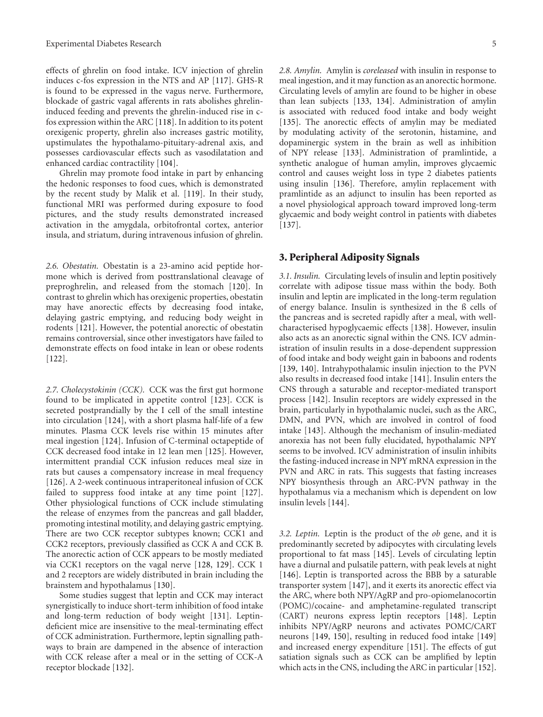effects of ghrelin on food intake. ICV injection of ghrelin induces c-fos expression in the NTS and AP [\[117](#page-14-8)]. GHS-R is found to be expressed in the vagus nerve. Furthermore, blockade of gastric vagal afferents in rats abolishes ghrelininduced feeding and prevents the ghrelin-induced rise in cfos expression within the ARC [\[118](#page-14-9)]. In addition to its potent orexigenic property, ghrelin also increases gastric motility, upstimulates the hypothalamo-pituitary-adrenal axis, and possesses cardiovascular effects such as vasodilatation and enhanced cardiac contractility [\[104\]](#page-13-26).

Ghrelin may promote food intake in part by enhancing the hedonic responses to food cues, which is demonstrated by the recent study by Malik et al. [\[119\]](#page-14-10). In their study, functional MRI was performed during exposure to food pictures, and the study results demonstrated increased activation in the amygdala, orbitofrontal cortex, anterior insula, and striatum, during intravenous infusion of ghrelin.

*2.6. Obestatin.* Obestatin is a 23-amino acid peptide hormone which is derived from posttranslational cleavage of preproghrelin, and released from the stomach [\[120\]](#page-14-11). In contrast to ghrelin which has orexigenic properties, obestatin may have anorectic effects by decreasing food intake, delaying gastric emptying, and reducing body weight in rodents [\[121\]](#page-14-12). However, the potential anorectic of obestatin remains controversial, since other investigators have failed to demonstrate effects on food intake in lean or obese rodents [\[122\]](#page-14-13).

*2.7. Cholecystokinin (CCK).* CCK was the first gut hormone found to be implicated in appetite control [\[123\]](#page-14-14). CCK is secreted postprandially by the I cell of the small intestine into circulation [\[124\]](#page-14-15), with a short plasma half-life of a few minutes. Plasma CCK levels rise within 15 minutes after meal ingestion [\[124](#page-14-15)]. Infusion of C-terminal octapeptide of CCK decreased food intake in 12 lean men [\[125\]](#page-14-16). However, intermittent prandial CCK infusion reduces meal size in rats but causes a compensatory increase in meal frequency [\[126\]](#page-14-17). A 2-week continuous intraperitoneal infusion of CCK failed to suppress food intake at any time point [\[127\]](#page-14-18). Other physiological functions of CCK include stimulating the release of enzymes from the pancreas and gall bladder, promoting intestinal motility, and delaying gastric emptying. There are two CCK receptor subtypes known; CCK1 and CCK2 receptors, previously classified as CCK A and CCK B. The anorectic action of CCK appears to be mostly mediated via CCK1 receptors on the vagal nerve [\[128,](#page-14-19) [129](#page-14-20)]. CCK 1 and 2 receptors are widely distributed in brain including the brainstem and hypothalamus [\[130\]](#page-14-21).

Some studies suggest that leptin and CCK may interact synergistically to induce short-term inhibition of food intake and long-term reduction of body weight [\[131\]](#page-14-22). Leptindeficient mice are insensitive to the meal-terminating effect of CCK administration. Furthermore, leptin signalling pathways to brain are dampened in the absence of interaction with CCK release after a meal or in the setting of CCK-A receptor blockade [\[132\]](#page-14-23).

*2.8. Amylin.* Amylin is *coreleased* with insulin in response to meal ingestion, and it may function as an anorectic hormone. Circulating levels of amylin are found to be higher in obese than lean subjects [\[133](#page-14-24), [134](#page-14-25)]. Administration of amylin is associated with reduced food intake and body weight [\[135\]](#page-14-26). The anorectic effects of amylin may be mediated by modulating activity of the serotonin, histamine, and dopaminergic system in the brain as well as inhibition of NPY release [\[133\]](#page-14-24). Administration of pramlintide, a synthetic analogue of human amylin, improves glycaemic control and causes weight loss in type 2 diabetes patients using insulin [\[136](#page-14-27)]. Therefore, amylin replacement with pramlintide as an adjunct to insulin has been reported as a novel physiological approach toward improved long-term glycaemic and body weight control in patients with diabetes [\[137\]](#page-14-28).

### **3. Peripheral Adiposity Signals**

*3.1. Insulin.* Circulating levels of insulin and leptin positively correlate with adipose tissue mass within the body. Both insulin and leptin are implicated in the long-term regulation of energy balance. Insulin is synthesized in the ß cells of the pancreas and is secreted rapidly after a meal, with wellcharacterised hypoglycaemic effects [\[138](#page-14-29)]. However, insulin also acts as an anorectic signal within the CNS. ICV administration of insulin results in a dose-dependent suppression of food intake and body weight gain in baboons and rodents [\[139,](#page-14-30) [140](#page-15-0)]. Intrahypothalamic insulin injection to the PVN also results in decreased food intake [\[141](#page-15-1)]. Insulin enters the CNS through a saturable and receptor-mediated transport process [\[142](#page-15-2)]. Insulin receptors are widely expressed in the brain, particularly in hypothalamic nuclei, such as the ARC, DMN, and PVN, which are involved in control of food intake [\[143](#page-15-3)]. Although the mechanism of insulin-mediated anorexia has not been fully elucidated, hypothalamic NPY seems to be involved. ICV administration of insulin inhibits the fasting-induced increase in NPY mRNA expression in the PVN and ARC in rats. This suggests that fasting increases NPY biosynthesis through an ARC-PVN pathway in the hypothalamus via a mechanism which is dependent on low insulin levels [\[144](#page-15-4)].

*3.2. Leptin.* Leptin is the product of the *ob* gene, and it is predominantly secreted by adipocytes with circulating levels proportional to fat mass [\[145\]](#page-15-5). Levels of circulating leptin have a diurnal and pulsatile pattern, with peak levels at night [\[146\]](#page-15-6). Leptin is transported across the BBB by a saturable transporter system [\[147](#page-15-7)], and it exerts its anorectic effect via the ARC, where both NPY/AgRP and pro-opiomelanocortin (POMC)/cocaine- and amphetamine-regulated transcript (CART) neurons express leptin receptors [\[148\]](#page-15-8). Leptin inhibits NPY/AgRP neurons and activates POMC/CART neurons [\[149,](#page-15-9) [150\]](#page-15-10), resulting in reduced food intake [\[149](#page-15-9)] and increased energy expenditure [\[151](#page-15-11)]. The effects of gut satiation signals such as CCK can be amplified by leptin which acts in the CNS, including the ARC in particular [\[152\]](#page-15-12).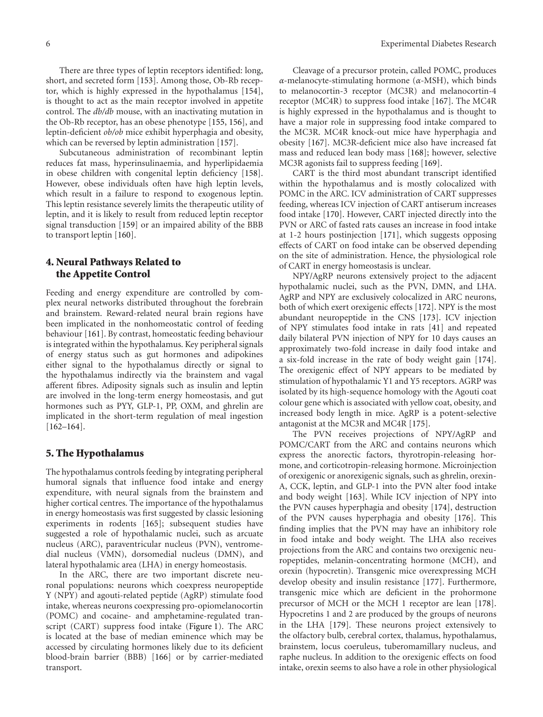There are three types of leptin receptors identified: long, short, and secreted form [\[153](#page-15-13)]. Among those, Ob-Rb receptor, which is highly expressed in the hypothalamus [\[154\]](#page-15-14), is thought to act as the main receptor involved in appetite control. The *db/db* mouse, with an inactivating mutation in the Ob-Rb receptor, has an obese phenotype [\[155](#page-15-15), [156](#page-15-16)], and leptin-deficient *ob/ob* mice exhibit hyperphagia and obesity, which can be reversed by leptin administration [\[157](#page-15-17)].

Subcutaneous administration of recombinant leptin reduces fat mass, hyperinsulinaemia, and hyperlipidaemia in obese children with congenital leptin deficiency [\[158\]](#page-15-18). However, obese individuals often have high leptin levels, which result in a failure to respond to exogenous leptin. This leptin resistance severely limits the therapeutic utility of leptin, and it is likely to result from reduced leptin receptor signal transduction [\[159](#page-15-19)] or an impaired ability of the BBB to transport leptin [\[160](#page-15-20)].

# **4. Neural Pathways Related to the Appetite Control**

Feeding and energy expenditure are controlled by complex neural networks distributed throughout the forebrain and brainstem. Reward-related neural brain regions have been implicated in the nonhomeostatic control of feeding behaviour [\[161](#page-15-21)]. By contrast, homeostatic feeding behaviour is integrated within the hypothalamus. Key peripheral signals of energy status such as gut hormones and adipokines either signal to the hypothalamus directly or signal to the hypothalamus indirectly via the brainstem and vagal afferent fibres. Adiposity signals such as insulin and leptin are involved in the long-term energy homeostasis, and gut hormones such as PYY, GLP-1, PP, OXM, and ghrelin are implicated in the short-term regulation of meal ingestion [\[162](#page-15-22)[–164](#page-15-23)].

## **5. The Hypothalamus**

The hypothalamus controls feeding by integrating peripheral humoral signals that influence food intake and energy expenditure, with neural signals from the brainstem and higher cortical centres. The importance of the hypothalamus in energy homeostasis was first suggested by classic lesioning experiments in rodents [\[165](#page-15-24)]; subsequent studies have suggested a role of hypothalamic nuclei, such as arcuate nucleus (ARC), paraventricular nucleus (PVN), ventromedial nucleus (VMN), dorsomedial nucleus (DMN), and lateral hypothalamic area (LHA) in energy homeostasis.

In the ARC, there are two important discrete neuronal populations: neurons which coexpress neuropeptide Y (NPY) and agouti-related peptide (AgRP) stimulate food intake, whereas neurons coexpressing pro-opiomelanocortin (POMC) and cocaine- and amphetamine-regulated transcript (CART) suppress food intake [\(Figure 1\)](#page-6-0). The ARC is located at the base of median eminence which may be accessed by circulating hormones likely due to its deficient blood-brain barrier (BBB) [\[166\]](#page-15-25) or by carrier-mediated transport.

Cleavage of a precursor protein, called POMC, produces *α*-melanocyte-stimulating hormone (*α*-MSH), which binds to melanocortin-3 receptor (MC3R) and melanocortin-4 receptor (MC4R) to suppress food intake [\[167](#page-15-26)]. The MC4R is highly expressed in the hypothalamus and is thought to have a major role in suppressing food intake compared to the MC3R. MC4R knock-out mice have hyperphagia and obesity [\[167](#page-15-26)]. MC3R-deficient mice also have increased fat mass and reduced lean body mass [\[168](#page-15-27)]; however, selective MC3R agonists fail to suppress feeding [\[169](#page-15-28)].

CART is the third most abundant transcript identified within the hypothalamus and is mostly colocalized with POMC in the ARC. ICV administration of CART suppresses feeding, whereas ICV injection of CART antiserum increases food intake [\[170\]](#page-15-29). However, CART injected directly into the PVN or ARC of fasted rats causes an increase in food intake at 1-2 hours postinjection [\[171\]](#page-15-30), which suggests opposing effects of CART on food intake can be observed depending on the site of administration. Hence, the physiological role of CART in energy homeostasis is unclear.

NPY/AgRP neurons extensively project to the adjacent hypothalamic nuclei, such as the PVN, DMN, and LHA. AgRP and NPY are exclusively colocalized in ARC neurons, both of which exert orexigenic effects [\[172](#page-15-31)]. NPY is the most abundant neuropeptide in the CNS [\[173](#page-15-32)]. ICV injection of NPY stimulates food intake in rats [\[41\]](#page-11-26) and repeated daily bilateral PVN injection of NPY for 10 days causes an approximately two-fold increase in daily food intake and a six-fold increase in the rate of body weight gain [\[174\]](#page-15-33). The orexigenic effect of NPY appears to be mediated by stimulation of hypothalamic Y1 and Y5 receptors. AGRP was isolated by its high-sequence homology with the Agouti coat colour gene which is associated with yellow coat, obesity, and increased body length in mice. AgRP is a potent-selective antagonist at the MC3R and MC4R [\[175\]](#page-15-34).

The PVN receives projections of NPY/AgRP and POMC/CART from the ARC and contains neurons which express the anorectic factors, thyrotropin-releasing hormone, and corticotropin-releasing hormone. Microinjection of orexigenic or anorexigenic signals, such as ghrelin, orexin-A, CCK, leptin, and GLP-1 into the PVN alter food intake and body weight [\[163](#page-15-35)]. While ICV injection of NPY into the PVN causes hyperphagia and obesity [\[174](#page-15-33)], destruction of the PVN causes hyperphagia and obesity [\[176](#page-16-0)]. This finding implies that the PVN may have an inhibitory role in food intake and body weight. The LHA also receives projections from the ARC and contains two orexigenic neuropeptides, melanin-concentrating hormone (MCH), and orexin (hypocretin). Transgenic mice overexpressing MCH develop obesity and insulin resistance [\[177](#page-16-1)]. Furthermore, transgenic mice which are deficient in the prohormone precursor of MCH or the MCH 1 receptor are lean [\[178\]](#page-16-2). Hypocretins 1 and 2 are produced by the groups of neurons in the LHA [\[179](#page-16-3)]. These neurons project extensively to the olfactory bulb, cerebral cortex, thalamus, hypothalamus, brainstem, locus coeruleus, tuberomamillary nucleus, and raphe nucleus. In addition to the orexigenic effects on food intake, orexin seems to also have a role in other physiological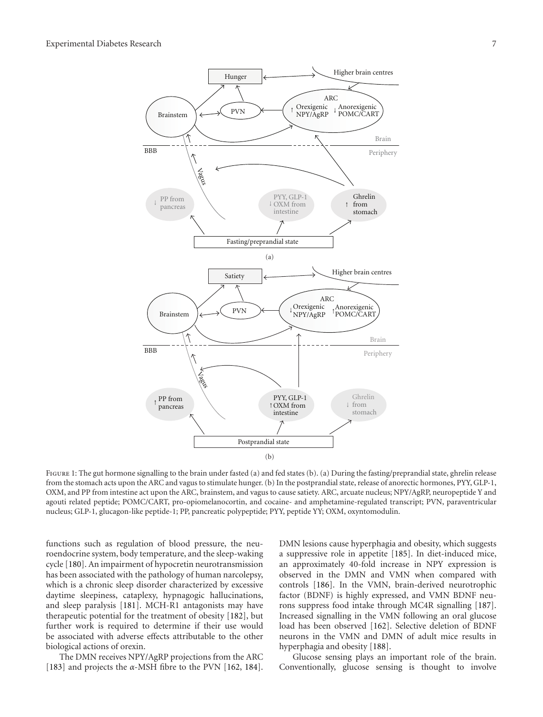

<span id="page-6-0"></span>FIGURE 1: The gut hormone signalling to the brain under fasted (a) and fed states (b). (a) During the fasting/preprandial state, ghrelin release from the stomach acts upon the ARC and vagus to stimulate hunger. (b) In the postprandial state, release of anorectic hormones, PYY, GLP-1, OXM, and PP from intestine act upon the ARC, brainstem, and vagus to cause satiety. ARC, arcuate nucleus; NPY/AgRP, neuropeptide Y and agouti related peptide; POMC/CART, pro-opiomelanocortin, and cocaine- and amphetamine-regulated transcript; PVN, paraventricular nucleus; GLP-1, glucagon-like peptide-1; PP, pancreatic polypeptide; PYY, peptide YY; OXM, oxyntomodulin.

functions such as regulation of blood pressure, the neuroendocrine system, body temperature, and the sleep-waking cycle [\[180\]](#page-16-4). An impairment of hypocretin neurotransmission has been associated with the pathology of human narcolepsy, which is a chronic sleep disorder characterized by excessive daytime sleepiness, cataplexy, hypnagogic hallucinations, and sleep paralysis [\[181](#page-16-5)]. MCH-R1 antagonists may have therapeutic potential for the treatment of obesity [\[182\]](#page-16-6), but further work is required to determine if their use would be associated with adverse effects attributable to the other biological actions of orexin.

The DMN receives NPY/AgRP projections from the ARC [\[183\]](#page-16-7) and projects the *α*-MSH fibre to the PVN [\[162](#page-15-22), [184\]](#page-16-8). DMN lesions cause hyperphagia and obesity, which suggests a suppressive role in appetite [\[185](#page-16-9)]. In diet-induced mice, an approximately 40-fold increase in NPY expression is observed in the DMN and VMN when compared with controls [\[186](#page-16-10)]. In the VMN, brain-derived neurotrophic factor (BDNF) is highly expressed, and VMN BDNF neurons suppress food intake through MC4R signalling [\[187\]](#page-16-11). Increased signalling in the VMN following an oral glucose load has been observed [\[162](#page-15-22)]. Selective deletion of BDNF neurons in the VMN and DMN of adult mice results in hyperphagia and obesity [\[188](#page-16-12)].

Glucose sensing plays an important role of the brain. Conventionally, glucose sensing is thought to involve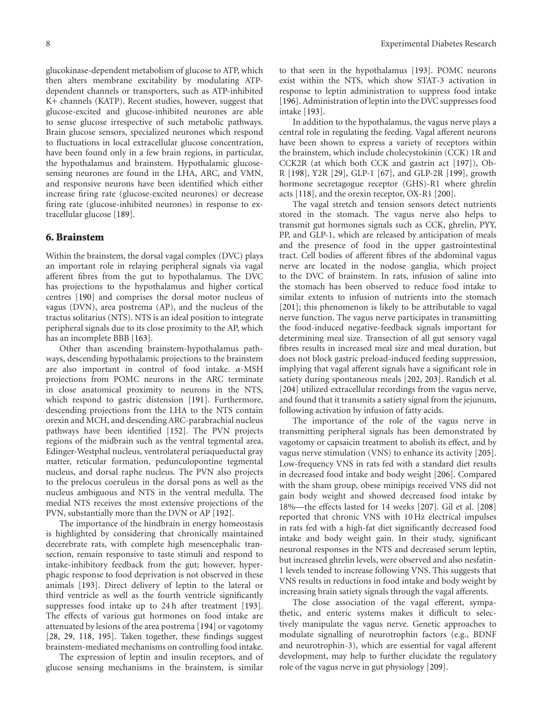glucokinase-dependent metabolism of glucose to ATP, which then alters membrane excitability by modulating ATPdependent channels or transporters, such as ATP-inhibited K+ channels (KATP). Recent studies, however, suggest that glucose-excited and glucose-inhibited neurones are able to sense glucose irrespective of such metabolic pathways. Brain glucose sensors, specialized neurones which respond to fluctuations in local extracellular glucose concentration, have been found only in a few brain regions, in particular, the hypothalamus and brainstem. Hypothalamic glucosesensing neurones are found in the LHA, ARC, and VMN, and responsive neurons have been identified which either increase firing rate (glucose-excited neurones) or decrease firing rate (glucose-inhibited neurones) in response to extracellular glucose [\[189](#page-16-13)].

## **6. Brainstem**

Within the brainstem, the dorsal vagal complex (DVC) plays an important role in relaying peripheral signals via vagal afferent fibres from the gut to hypothalamus. The DVC has projections to the hypothalamus and higher cortical centres [\[190](#page-16-14)] and comprises the dorsal motor nucleus of vagus (DVN), area postrema (AP), and the nucleus of the tractus solitarius (NTS). NTS is an ideal position to integrate peripheral signals due to its close proximity to the AP, which has an incomplete BBB [\[163](#page-15-35)].

Other than ascending brainstem-hypothalamus pathways, descending hypothalamic projections to the brainstem are also important in control of food intake. *α*-MSH projections from POMC neurons in the ARC terminate in close anatomical proximity to neurons in the NTS, which respond to gastric distension [\[191\]](#page-16-15). Furthermore, descending projections from the LHA to the NTS contain orexin and MCH, and descending ARC-parabrachial nucleus pathways have been identified [\[152](#page-15-12)]. The PVN projects regions of the midbrain such as the ventral tegmental area, Edinger-Westphal nucleus, ventrolateral periaqueductal gray matter, reticular formation, pedunculopontine tegmental nucleus, and dorsal raphe nucleus. The PVN also projects to the prelocus coeruleus in the dorsal pons as well as the nucleus ambiguous and NTS in the ventral medulla. The medial NTS receives the most extensive projections of the PVN, substantially more than the DVN or AP [\[192\]](#page-16-16).

The importance of the hindbrain in energy homeostasis is highlighted by considering that chronically maintained decerebrate rats, with complete high mesencephalic transection, remain responsive to taste stimuli and respond to intake-inhibitory feedback from the gut; however, hyperphagic response to food deprivation is not observed in these animals [\[193\]](#page-16-17). Direct delivery of leptin to the lateral or third ventricle as well as the fourth ventricle significantly suppresses food intake up to 24 h after treatment [\[193\]](#page-16-17). The effects of various gut hormones on food intake are attenuated by lesions of the area postrema [\[194](#page-16-18)] or vagotomy [\[28,](#page-11-13) [29](#page-11-14), [118,](#page-14-9) [195\]](#page-16-19). Taken together, these findings suggest brainstem-mediated mechanisms on controlling food intake.

The expression of leptin and insulin receptors, and of glucose sensing mechanisms in the brainstem, is similar to that seen in the hypothalamus [\[193\]](#page-16-17). POMC neurons exist within the NTS, which show STAT-3 activation in response to leptin administration to suppress food intake [\[196\]](#page-16-20). Administration of leptin into the DVC suppresses food intake [\[193](#page-16-17)].

In addition to the hypothalamus, the vagus nerve plays a central role in regulating the feeding. Vagal afferent neurons have been shown to express a variety of receptors within the brainstem, which include cholecystokinin (CCK) 1R and CCK2R (at which both CCK and gastrin act [\[197\]](#page-16-21)), Ob-R [\[198](#page-16-22)], Y2R [\[29\]](#page-11-14), GLP-1 [\[67](#page-12-20)], and GLP-2R [\[199](#page-16-23)], growth hormone secretagogue receptor (GHS)-R1 where ghrelin acts [\[118](#page-14-9)], and the orexin receptor, OX-R1 [\[200\]](#page-16-24).

The vagal stretch and tension sensors detect nutrients stored in the stomach. The vagus nerve also helps to transmit gut hormones signals such as CCK, ghrelin, PYY, PP, and GLP-1, which are released by anticipation of meals and the presence of food in the upper gastrointestinal tract. Cell bodies of afferent fibres of the abdominal vagus nerve are located in the nodose ganglia, which project to the DVC of brainstem. In rats, infusion of saline into the stomach has been observed to reduce food intake to similar extents to infusion of nutrients into the stomach [\[201\]](#page-16-25); this phenomenon is likely to be attributable to vagal nerve function. The vagus nerve participates in transmitting the food-induced negative-feedback signals important for determining meal size. Transection of all gut sensory vagal fibres results in increased meal size and meal duration, but does not block gastric preload-induced feeding suppression, implying that vagal afferent signals have a significant role in satiety during spontaneous meals [\[202](#page-16-26), [203](#page-16-27)]. Randich et al. [\[204\]](#page-16-28) utilized extracellular recordings from the vagus nerve, and found that it transmits a satiety signal from the jejunum, following activation by infusion of fatty acids.

The importance of the role of the vagus nerve in transmitting peripheral signals has been demonstrated by vagotomy or capsaicin treatment to abolish its effect, and by vagus nerve stimulation (VNS) to enhance its activity [\[205\]](#page-16-29). Low-frequency VNS in rats fed with a standard diet results in decreased food intake and body weight [\[206\]](#page-16-30). Compared with the sham group, obese minipigs received VNS did not gain body weight and showed decreased food intake by 18%—the effects lasted for 14 weeks [\[207](#page-16-31)]. Gil et al. [\[208](#page-17-0)] reported that chronic VNS with 10 Hz electrical impulses in rats fed with a high-fat diet significantly decreased food intake and body weight gain. In their study, significant neuronal responses in the NTS and decreased serum leptin, but increased ghrelin levels, were observed and also nesfatin-1 levels tended to increase following VNS. This suggests that VNS results in reductions in food intake and body weight by increasing brain satiety signals through the vagal afferents.

The close association of the vagal efferent, sympathetic, and enteric systems makes it difficult to selectively manipulate the vagus nerve. Genetic approaches to modulate signalling of neurotrophin factors (e.g., BDNF and neurotrophin-3), which are essential for vagal afferent development, may help to further elucidate the regulatory role of the vagus nerve in gut physiology [\[209](#page-17-1)].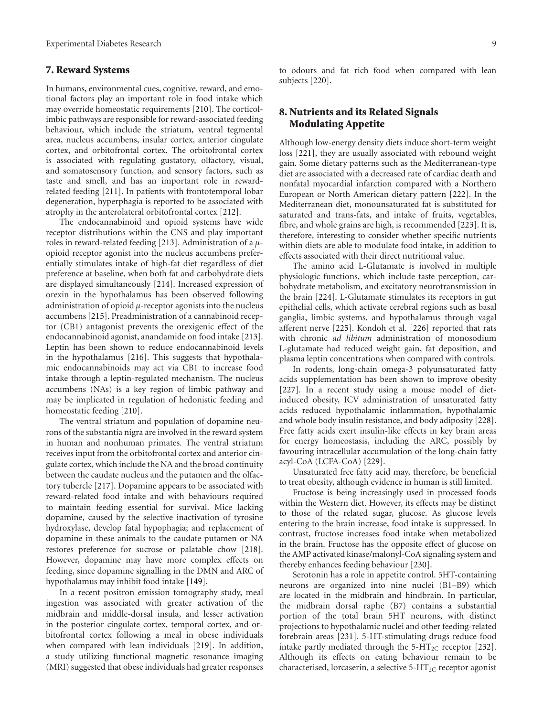## **7. Reward Systems**

In humans, environmental cues, cognitive, reward, and emotional factors play an important role in food intake which may override homeostatic requirements [\[210](#page-17-2)]. The corticolimbic pathways are responsible for reward-associated feeding behaviour, which include the striatum, ventral tegmental area, nucleus accumbens, insular cortex, anterior cingulate cortex, and orbitofrontal cortex. The orbitofrontal cortex is associated with regulating gustatory, olfactory, visual, and somatosensory function, and sensory factors, such as taste and smell, and has an important role in rewardrelated feeding [\[211\]](#page-17-3). In patients with frontotemporal lobar degeneration, hyperphagia is reported to be associated with atrophy in the anterolateral orbitofrontal cortex [\[212\]](#page-17-4).

The endocannabinoid and opioid systems have wide receptor distributions within the CNS and play important roles in reward-related feeding [\[213\]](#page-17-5). Administration of a *μ*opioid receptor agonist into the nucleus accumbens preferentially stimulates intake of high-fat diet regardless of diet preference at baseline, when both fat and carbohydrate diets are displayed simultaneously [\[214\]](#page-17-6). Increased expression of orexin in the hypothalamus has been observed following administration of opioid *μ*-receptor agonists into the nucleus accumbens [\[215](#page-17-7)]. Preadministration of a cannabinoid receptor (CB1) antagonist prevents the orexigenic effect of the endocannabinoid agonist, anandamide on food intake [\[213\]](#page-17-5). Leptin has been shown to reduce endocannabinoid levels in the hypothalamus [\[216\]](#page-17-8). This suggests that hypothalamic endocannabinoids may act via CB1 to increase food intake through a leptin-regulated mechanism. The nucleus accumbens (NAs) is a key region of limbic pathway and may be implicated in regulation of hedonistic feeding and homeostatic feeding [\[210](#page-17-2)].

The ventral striatum and population of dopamine neurons of the substantia nigra are involved in the reward system in human and nonhuman primates. The ventral striatum receives input from the orbitofrontal cortex and anterior cingulate cortex, which include the NA and the broad continuity between the caudate nucleus and the putamen and the olfactory tubercle [\[217](#page-17-9)]. Dopamine appears to be associated with reward-related food intake and with behaviours required to maintain feeding essential for survival. Mice lacking dopamine, caused by the selective inactivation of tyrosine hydroxylase, develop fatal hypophagia; and replacement of dopamine in these animals to the caudate putamen or NA restores preference for sucrose or palatable chow [\[218\]](#page-17-10). However, dopamine may have more complex effects on feeding, since dopamine signalling in the DMN and ARC of hypothalamus may inhibit food intake [\[149\]](#page-15-9).

In a recent positron emission tomography study, meal ingestion was associated with greater activation of the midbrain and middle-dorsal insula, and lesser activation in the posterior cingulate cortex, temporal cortex, and orbitofrontal cortex following a meal in obese individuals when compared with lean individuals [\[219](#page-17-11)]. In addition, a study utilizing functional magnetic resonance imaging (MRI) suggested that obese individuals had greater responses

to odours and fat rich food when compared with lean subjects [\[220\]](#page-17-12).

# **8. Nutrients and its Related Signals Modulating Appetite**

Although low-energy density diets induce short-term weight loss [\[221\]](#page-17-13), they are usually associated with rebound weight gain. Some dietary patterns such as the Mediterranean-type diet are associated with a decreased rate of cardiac death and nonfatal myocardial infarction compared with a Northern European or North American dietary pattern [\[222\]](#page-17-14). In the Mediterranean diet, monounsaturated fat is substituted for saturated and trans-fats, and intake of fruits, vegetables, fibre, and whole grains are high, is recommended [\[223\]](#page-17-15). It is, therefore, interesting to consider whether specific nutrients within diets are able to modulate food intake, in addition to effects associated with their direct nutritional value.

The amino acid L-Glutamate is involved in multiple physiologic functions, which include taste perception, carbohydrate metabolism, and excitatory neurotransmission in the brain [\[224\]](#page-17-16). L-Glutamate stimulates its receptors in gut epithelial cells, which activate cerebral regions such as basal ganglia, limbic systems, and hypothalamus through vagal afferent nerve [\[225](#page-17-17)]. Kondoh et al. [\[226\]](#page-17-18) reported that rats with chronic *ad libitum* administration of monosodium L-glutamate had reduced weight gain, fat deposition, and plasma leptin concentrations when compared with controls.

In rodents, long-chain omega-3 polyunsaturated fatty acids supplementation has been shown to improve obesity [\[227\]](#page-17-19). In a recent study using a mouse model of dietinduced obesity, ICV administration of unsaturated fatty acids reduced hypothalamic inflammation, hypothalamic and whole body insulin resistance, and body adiposity [\[228\]](#page-17-20). Free fatty acids exert insulin-like effects in key brain areas for energy homeostasis, including the ARC, possibly by favouring intracellular accumulation of the long-chain fatty acyl-CoA (LCFA-CoA) [\[229\]](#page-17-21).

Unsaturated free fatty acid may, therefore, be beneficial to treat obesity, although evidence in human is still limited.

Fructose is being increasingly used in processed foods within the Western diet. However, its effects may be distinct to those of the related sugar, glucose. As glucose levels entering to the brain increase, food intake is suppressed. In contrast, fructose increases food intake when metabolized in the brain. Fructose has the opposite effect of glucose on the AMP activated kinase/malonyl-CoA signaling system and thereby enhances feeding behaviour [\[230\]](#page-17-22).

Serotonin has a role in appetite control. 5HT-containing neurons are organized into nine nuclei (B1–B9) which are located in the midbrain and hindbrain. In particular, the midbrain dorsal raphe (B7) contains a substantial portion of the total brain 5HT neurons, with distinct projections to hypothalamic nuclei and other feeding-related forebrain areas [\[231\]](#page-17-23). 5-HT-stimulating drugs reduce food intake partly mediated through the  $5-HT_{2C}$  receptor [\[232\]](#page-17-24). Although its effects on eating behaviour remain to be characterised, lorcaserin, a selective 5-HT<sub>2C</sub> receptor agonist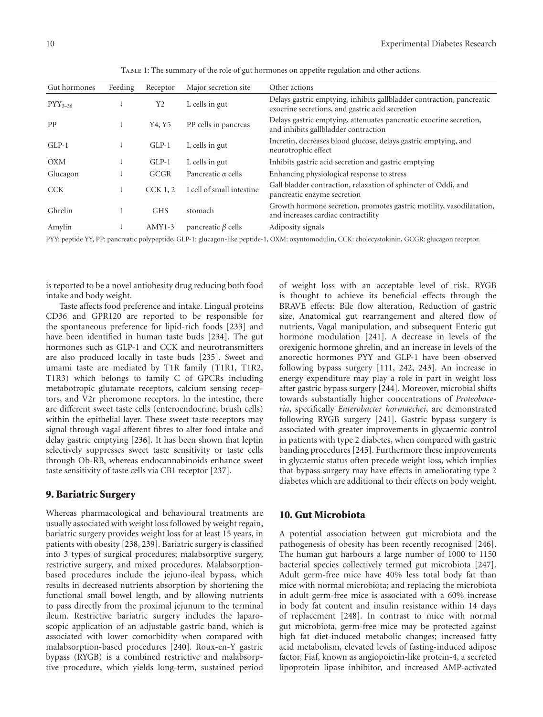| Gut hormones | Feeding | Receptor       | Major secretion site      | Other actions                                                                                                            |
|--------------|---------|----------------|---------------------------|--------------------------------------------------------------------------------------------------------------------------|
| $PYY_{3-36}$ |         | Y <sub>2</sub> | L cells in gut            | Delays gastric emptying, inhibits gallbladder contraction, pancreatic<br>exocrine secretions, and gastric acid secretion |
| PP           |         | Y4, Y5         | PP cells in pancreas      | Delays gastric emptying, attenuates pancreatic exocrine secretion,<br>and inhibits gallbladder contraction               |
| $GLP-1$      |         | $GLP-1$        | L cells in gut            | Incretin, decreases blood glucose, delays gastric emptying, and<br>neurotrophic effect                                   |
| <b>OXM</b>   |         | $GLP-1$        | L cells in gut            | Inhibits gastric acid secretion and gastric emptying                                                                     |
| Glucagon     |         | GCGR           | Pancreatic $\alpha$ cells | Enhancing physiological response to stress                                                                               |
| <b>CCK</b>   |         | $CCK$ 1, 2     | I cell of small intestine | Gall bladder contraction, relaxation of sphincter of Oddi, and<br>pancreatic enzyme secretion                            |
| Ghrelin      |         | <b>GHS</b>     | stomach                   | Growth hormone secretion, promotes gastric motility, vasodilatation,<br>and increases cardiac contractility              |
| Amylin       |         | $AMY1-3$       | pancreatic $\beta$ cells  | Adiposity signals                                                                                                        |

<span id="page-9-0"></span>TABLE 1: The summary of the role of gut hormones on appetite regulation and other actions.

PYY: peptide YY, PP: pancreatic polypeptide, GLP-1: glucagon-like peptide-1, OXM: oxyntomodulin, CCK: cholecystokinin, GCGR: glucagon receptor.

is reported to be a novel antiobesity drug reducing both food intake and body weight.

Taste affects food preference and intake. Lingual proteins CD36 and GPR120 are reported to be responsible for the spontaneous preference for lipid-rich foods [\[233](#page-17-25)] and have been identified in human taste buds [\[234\]](#page-17-26). The gut hormones such as GLP-1 and CCK and neurotransmitters are also produced locally in taste buds [\[235\]](#page-17-27). Sweet and umami taste are mediated by T1R family (T1R1, T1R2, T1R3) which belongs to family C of GPCRs including metabotropic glutamate receptors, calcium sensing receptors, and V2r pheromone receptors. In the intestine, there are different sweet taste cells (enteroendocrine, brush cells) within the epithelial layer. These sweet taste receptors may signal through vagal afferent fibres to alter food intake and delay gastric emptying [\[236\]](#page-17-28). It has been shown that leptin selectively suppresses sweet taste sensitivity or taste cells through Ob-RB, whereas endocannabinoids enhance sweet taste sensitivity of taste cells via CB1 receptor [\[237](#page-17-29)].

### **9. Bariatric Surgery**

Whereas pharmacological and behavioural treatments are usually associated with weight loss followed by weight regain, bariatric surgery provides weight loss for at least 15 years, in patients with obesity [\[238](#page-17-30), [239](#page-17-31)]. Bariatric surgery is classified into 3 types of surgical procedures; malabsorptive surgery, restrictive surgery, and mixed procedures. Malabsorptionbased procedures include the jejuno-ileal bypass, which results in decreased nutrients absorption by shortening the functional small bowel length, and by allowing nutrients to pass directly from the proximal jejunum to the terminal ileum. Restrictive bariatric surgery includes the laparoscopic application of an adjustable gastric band, which is associated with lower comorbidity when compared with malabsorption-based procedures [\[240](#page-17-32)]. Roux-en-Y gastric bypass (RYGB) is a combined restrictive and malabsorptive procedure, which yields long-term, sustained period

of weight loss with an acceptable level of risk. RYGB is thought to achieve its beneficial effects through the BRAVE effects: Bile flow alteration, Reduction of gastric size, Anatomical gut rearrangement and altered flow of nutrients, Vagal manipulation, and subsequent Enteric gut hormone modulation [\[241](#page-18-0)]. A decrease in levels of the orexigenic hormone ghrelin, and an increase in levels of the anorectic hormones PYY and GLP-1 have been observed following bypass surgery [\[111](#page-14-2), [242,](#page-18-1) [243\]](#page-18-2). An increase in energy expenditure may play a role in part in weight loss after gastric bypass surgery [\[244](#page-18-3)]. Moreover, microbial shifts towards substantially higher concentrations of *Proteobaceria*, specifically *Enterobacter hormaechei*, are demonstrated following RYGB surgery [\[241\]](#page-18-0). Gastric bypass surgery is associated with greater improvements in glycaemic control in patients with type 2 diabetes, when compared with gastric banding procedures [\[245](#page-18-4)]. Furthermore these improvements in glycaemic status often precede weight loss, which implies that bypass surgery may have effects in ameliorating type 2 diabetes which are additional to their effects on body weight.

### **10. Gut Microbiota**

A potential association between gut microbiota and the pathogenesis of obesity has been recently recognised [\[246\]](#page-18-5). The human gut harbours a large number of 1000 to 1150 bacterial species collectively termed gut microbiota [\[247\]](#page-18-6). Adult germ-free mice have 40% less total body fat than mice with normal microbiota; and replacing the microbiota in adult germ-free mice is associated with a 60% increase in body fat content and insulin resistance within 14 days of replacement [\[248\]](#page-18-7). In contrast to mice with normal gut microbiota, germ-free mice may be protected against high fat diet-induced metabolic changes; increased fatty acid metabolism, elevated levels of fasting-induced adipose factor, Fiaf, known as angiopoietin-like protein-4, a secreted lipoprotein lipase inhibitor, and increased AMP-activated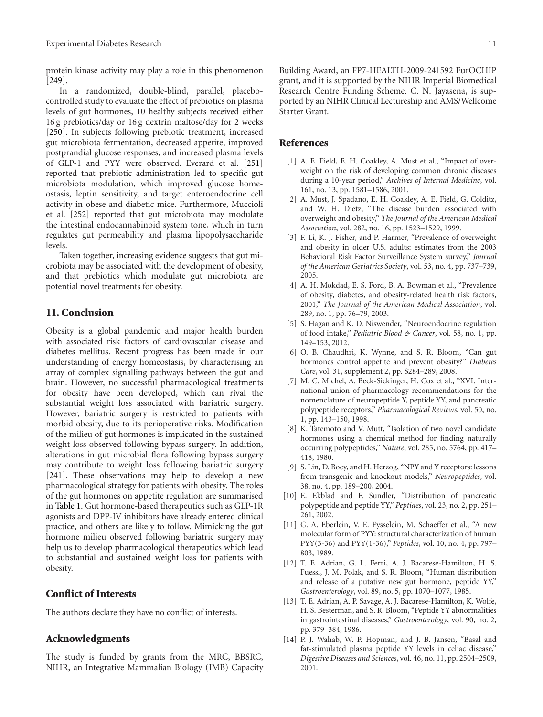protein kinase activity may play a role in this phenomenon [\[249\]](#page-18-8).

In a randomized, double-blind, parallel, placebocontrolled study to evaluate the effect of prebiotics on plasma levels of gut hormones, 10 healthy subjects received either 16 g prebiotics/day or 16 g dextrin maltose/day for 2 weeks [\[250\]](#page-18-9). In subjects following prebiotic treatment, increased gut microbiota fermentation, decreased appetite, improved postprandial glucose responses, and increased plasma levels of GLP-1 and PYY were observed. Everard et al. [\[251](#page-18-10)] reported that prebiotic administration led to specific gut microbiota modulation, which improved glucose homeostasis, leptin sensitivity, and target enteroendocrine cell activity in obese and diabetic mice. Furthermore, Muccioli et al. [\[252](#page-18-11)] reported that gut microbiota may modulate the intestinal endocannabinoid system tone, which in turn regulates gut permeability and plasma lipopolysaccharide levels.

Taken together, increasing evidence suggests that gut microbiota may be associated with the development of obesity, and that prebiotics which modulate gut microbiota are potential novel treatments for obesity.

## **11. Conclusion**

Obesity is a global pandemic and major health burden with associated risk factors of cardiovascular disease and diabetes mellitus. Recent progress has been made in our understanding of energy homeostasis, by characterising an array of complex signalling pathways between the gut and brain. However, no successful pharmacological treatments for obesity have been developed, which can rival the substantial weight loss associated with bariatric surgery. However, bariatric surgery is restricted to patients with morbid obesity, due to its perioperative risks. Modification of the milieu of gut hormones is implicated in the sustained weight loss observed following bypass surgery. In addition, alterations in gut microbial flora following bypass surgery may contribute to weight loss following bariatric surgery [\[241\]](#page-18-0). These observations may help to develop a new pharmacological strategy for patients with obesity. The roles of the gut hormones on appetite regulation are summarised in [Table 1.](#page-9-0) Gut hormone-based therapeutics such as GLP-1R agonists and DPP-IV inhibitors have already entered clinical practice, and others are likely to follow. Mimicking the gut hormone milieu observed following bariatric surgery may help us to develop pharmacological therapeutics which lead to substantial and sustained weight loss for patients with obesity.

## **Conflict of Interests**

The authors declare they have no conflict of interests.

# **Acknowledgments**

The study is funded by grants from the MRC, BBSRC, NIHR, an Integrative Mammalian Biology (IMB) Capacity Building Award, an FP7-HEALTH-2009-241592 EurOCHIP grant, and it is supported by the NIHR Imperial Biomedical Research Centre Funding Scheme. C. N. Jayasena, is supported by an NIHR Clinical Lectureship and AMS/Wellcome Starter Grant.

## <span id="page-10-0"></span>**References**

- <span id="page-10-1"></span>[1] A. E. Field, E. H. Coakley, A. Must et al., "Impact of overweight on the risk of developing common chronic diseases during a 10-year period," *Archives of Internal Medicine*, vol. 161, no. 13, pp. 1581–1586, 2001.
- <span id="page-10-2"></span>[2] A. Must, J. Spadano, E. H. Coakley, A. E. Field, G. Colditz, and W. H. Dietz, "The disease burden associated with overweight and obesity," *The Journal of the American Medical Association*, vol. 282, no. 16, pp. 1523–1529, 1999.
- <span id="page-10-3"></span>[3] F. Li, K. J. Fisher, and P. Harmer, "Prevalence of overweight and obesity in older U.S. adults: estimates from the 2003 Behavioral Risk Factor Surveillance System survey," *Journal of the American Geriatrics Society*, vol. 53, no. 4, pp. 737–739, 2005.
- <span id="page-10-4"></span>[4] A. H. Mokdad, E. S. Ford, B. A. Bowman et al., "Prevalence of obesity, diabetes, and obesity-related health risk factors, 2001," *The Journal of the American Medical Association*, vol. 289, no. 1, pp. 76–79, 2003.
- <span id="page-10-5"></span>[5] S. Hagan and K. D. Niswender, "Neuroendocrine regulation of food intake," *Pediatric Blood & Cancer*, vol. 58, no. 1, pp. 149–153, 2012.
- <span id="page-10-6"></span>[6] O. B. Chaudhri, K. Wynne, and S. R. Bloom, "Can gut hormones control appetite and prevent obesity?" *Diabetes Care*, vol. 31, supplement 2, pp. S284–289, 2008.
- <span id="page-10-7"></span>[7] M. C. Michel, A. Beck-Sickinger, H. Cox et al., "XVI. International union of pharmacology recommendations for the nomenclature of neuropeptide Y, peptide YY, and pancreatic polypeptide receptors," *Pharmacological Reviews*, vol. 50, no. 1, pp. 143–150, 1998.
- <span id="page-10-8"></span>[8] K. Tatemoto and V. Mutt, "Isolation of two novel candidate hormones using a chemical method for finding naturally occurring polypeptides," *Nature*, vol. 285, no. 5764, pp. 417– 418, 1980.
- <span id="page-10-9"></span>[9] S. Lin, D. Boey, and H. Herzog, "NPY and Y receptors: lessons from transgenic and knockout models," *Neuropeptides*, vol. 38, no. 4, pp. 189–200, 2004.
- <span id="page-10-10"></span>[10] E. Ekblad and F. Sundler, "Distribution of pancreatic polypeptide and peptide YY," *Peptides*, vol. 23, no. 2, pp. 251– 261, 2002.
- <span id="page-10-11"></span>[11] G. A. Eberlein, V. E. Eysselein, M. Schaeffer et al., "A new molecular form of PYY: structural characterization of human PYY(3-36) and PYY(1-36)," *Peptides*, vol. 10, no. 4, pp. 797– 803, 1989.
- <span id="page-10-12"></span>[12] T. E. Adrian, G. L. Ferri, A. J. Bacarese-Hamilton, H. S. Fuessl, J. M. Polak, and S. R. Bloom, "Human distribution and release of a putative new gut hormone, peptide YY," *Gastroenterology*, vol. 89, no. 5, pp. 1070–1077, 1985.
- <span id="page-10-13"></span>[13] T. E. Adrian, A. P. Savage, A. J. Bacarese-Hamilton, K. Wolfe, H. S. Besterman, and S. R. Bloom, "Peptide YY abnormalities in gastrointestinal diseases," *Gastroenterology*, vol. 90, no. 2, pp. 379–384, 1986.
- [14] P. J. Wahab, W. P. Hopman, and J. B. Jansen, "Basal and fat-stimulated plasma peptide YY levels in celiac disease," *Digestive Diseases and Sciences*, vol. 46, no. 11, pp. 2504–2509, 2001.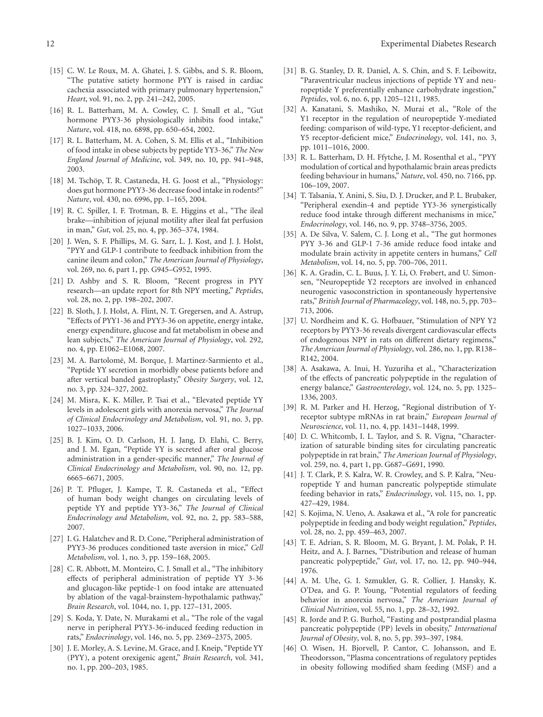- <span id="page-11-0"></span>[15] C. W. Le Roux, M. A. Ghatei, J. S. Gibbs, and S. R. Bloom, "The putative satiety hormone PYY is raised in cardiac cachexia associated with primary pulmonary hypertension," *Heart*, vol. 91, no. 2, pp. 241–242, 2005.
- <span id="page-11-1"></span>[16] R. L. Batterham, M. A. Cowley, C. J. Small et al., "Gut hormone PYY3-36 physiologically inhibits food intake," *Nature*, vol. 418, no. 6898, pp. 650–654, 2002.
- <span id="page-11-2"></span>[17] R. L. Batterham, M. A. Cohen, S. M. Ellis et al., "Inhibition of food intake in obese subjects by peptide YY3-36," *The New England Journal of Medicine*, vol. 349, no. 10, pp. 941–948, 2003.
- <span id="page-11-3"></span>[18] M. Tschöp, T. R. Castaneda, H. G. Joost et al., "Physiology: does gut hormone PYY3-36 decrease food intake in rodents?" *Nature*, vol. 430, no. 6996, pp. 1–165, 2004.
- <span id="page-11-4"></span>[19] R. C. Spiller, I. F. Trotman, B. E. Higgins et al., "The ileal brake—inhibition of jejunal motility after ileal fat perfusion in man," *Gut*, vol. 25, no. 4, pp. 365–374, 1984.
- <span id="page-11-5"></span>[20] J. Wen, S. F. Phillips, M. G. Sarr, L. J. Kost, and J. J. Holst, "PYY and GLP-1 contribute to feedback inhibition from the canine ileum and colon," *The American Journal of Physiology*, vol. 269, no. 6, part 1, pp. G945–G952, 1995.
- <span id="page-11-6"></span>[21] D. Ashby and S. R. Bloom, "Recent progress in PYY research—an update report for 8th NPY meeting," *Peptides*, vol. 28, no. 2, pp. 198–202, 2007.
- <span id="page-11-7"></span>[22] B. Sloth, J. J. Holst, A. Flint, N. T. Gregersen, and A. Astrup, "Effects of PYY1-36 and PYY3-36 on appetite, energy intake, energy expenditure, glucose and fat metabolism in obese and lean subjects," *The American Journal of Physiology*, vol. 292, no. 4, pp. E1062–E1068, 2007.
- <span id="page-11-8"></span>[23] M. A. Bartolomé, M. Borque, J. Martinez-Sarmiento et al., "Peptide YY secretion in morbidly obese patients before and after vertical banded gastroplasty," *Obesity Surgery*, vol. 12, no. 3, pp. 324–327, 2002.
- <span id="page-11-9"></span>[24] M. Misra, K. K. Miller, P. Tsai et al., "Elevated peptide YY levels in adolescent girls with anorexia nervosa," *The Journal of Clinical Endocrinology and Metabolism*, vol. 91, no. 3, pp. 1027–1033, 2006.
- <span id="page-11-10"></span>[25] B. J. Kim, O. D. Carlson, H. J. Jang, D. Elahi, C. Berry, and J. M. Egan, "Peptide YY is secreted after oral glucose administration in a gender-specific manner," *The Journal of Clinical Endocrinology and Metabolism*, vol. 90, no. 12, pp. 6665–6671, 2005.
- <span id="page-11-11"></span>[26] P. T. Pfluger, J. Kampe, T. R. Castaneda et al., "Effect of human body weight changes on circulating levels of peptide YY and peptide YY3-36," *The Journal of Clinical Endocrinology and Metabolism*, vol. 92, no. 2, pp. 583–588, 2007.
- <span id="page-11-12"></span>[27] I. G. Halatchev and R. D. Cone, "Peripheral administration of PYY3-36 produces conditioned taste aversion in mice," *Cell Metabolism*, vol. 1, no. 3, pp. 159–168, 2005.
- <span id="page-11-13"></span>[28] C. R. Abbott, M. Monteiro, C. J. Small et al., "The inhibitory effects of peripheral administration of peptide YY 3-36 and glucagon-like peptide-1 on food intake are attenuated by ablation of the vagal-brainstem-hypothalamic pathway," *Brain Research*, vol. 1044, no. 1, pp. 127–131, 2005.
- <span id="page-11-14"></span>[29] S. Koda, Y. Date, N. Murakami et al., "The role of the vagal nerve in peripheral PYY3-36-induced feeding reduction in rats," *Endocrinology*, vol. 146, no. 5, pp. 2369–2375, 2005.
- <span id="page-11-15"></span>[30] J. E. Morley, A. S. Levine, M. Grace, and J. Kneip, "Peptide YY (PYY), a potent orexigenic agent," *Brain Research*, vol. 341, no. 1, pp. 200–203, 1985.
- <span id="page-11-16"></span>[31] B. G. Stanley, D. R. Daniel, A. S. Chin, and S. F. Leibowitz, "Paraventricular nucleus injections of peptide YY and neuropeptide Y preferentially enhance carbohydrate ingestion," *Peptides*, vol. 6, no. 6, pp. 1205–1211, 1985.
- <span id="page-11-17"></span>[32] A. Kanatani, S. Mashiko, N. Murai et al., "Role of the Y1 receptor in the regulation of neuropeptide Y-mediated feeding: comparison of wild-type, Y1 receptor-deficient, and Y5 receptor-deficient mice," *Endocrinology*, vol. 141, no. 3, pp. 1011–1016, 2000.
- <span id="page-11-18"></span>[33] R. L. Batterham, D. H. Ffytche, J. M. Rosenthal et al., "PYY modulation of cortical and hypothalamic brain areas predicts feeding behaviour in humans," *Nature*, vol. 450, no. 7166, pp. 106–109, 2007.
- <span id="page-11-19"></span>[34] T. Talsania, Y. Anini, S. Siu, D. J. Drucker, and P. L. Brubaker, "Peripheral exendin-4 and peptide YY3-36 synergistically reduce food intake through different mechanisms in mice," *Endocrinology*, vol. 146, no. 9, pp. 3748–3756, 2005.
- <span id="page-11-20"></span>[35] A. De Silva, V. Salem, C. J. Long et al., "The gut hormones PYY 3-36 and GLP-1 7-36 amide reduce food intake and modulate brain activity in appetite centers in humans," *Cell Metabolism*, vol. 14, no. 5, pp. 700–706, 2011.
- <span id="page-11-21"></span>[36] K. A. Gradin, C. L. Buus, J. Y. Li, O. Frøbert, and U. Simonsen, "Neuropeptide Y2 receptors are involved in enhanced neurogenic vasoconstriction in spontaneously hypertensive rats," *British Journal of Pharmacology*, vol. 148, no. 5, pp. 703– 713, 2006.
- <span id="page-11-22"></span>[37] U. Nordheim and K. G. Hofbauer, "Stimulation of NPY Y2 receptors by PYY3-36 reveals divergent cardiovascular effects of endogenous NPY in rats on different dietary regimens," *The American Journal of Physiology*, vol. 286, no. 1, pp. R138– R142, 2004.
- <span id="page-11-23"></span>[38] A. Asakawa, A. Inui, H. Yuzuriha et al., "Characterization of the effects of pancreatic polypeptide in the regulation of energy balance," *Gastroenterology*, vol. 124, no. 5, pp. 1325– 1336, 2003.
- <span id="page-11-24"></span>[39] R. M. Parker and H. Herzog, "Regional distribution of Yreceptor subtype mRNAs in rat brain," *European Journal of Neuroscience*, vol. 11, no. 4, pp. 1431–1448, 1999.
- <span id="page-11-25"></span>[40] D. C. Whitcomb, I. L. Taylor, and S. R. Vigna, "Characterization of saturable binding sites for circulating pancreatic polypeptide in rat brain," *The American Journal of Physiology*, vol. 259, no. 4, part 1, pp. G687–G691, 1990.
- <span id="page-11-26"></span>[41] J. T. Clark, P. S. Kalra, W. R. Crowley, and S. P. Kalra, "Neuropeptide Y and human pancreatic polypeptide stimulate feeding behavior in rats," *Endocrinology*, vol. 115, no. 1, pp. 427–429, 1984.
- <span id="page-11-27"></span>[42] S. Kojima, N. Ueno, A. Asakawa et al., "A role for pancreatic polypeptide in feeding and body weight regulation," *Peptides*, vol. 28, no. 2, pp. 459–463, 2007.
- <span id="page-11-28"></span>[43] T. E. Adrian, S. R. Bloom, M. G. Bryant, J. M. Polak, P. H. Heitz, and A. J. Barnes, "Distribution and release of human pancreatic polypeptide," *Gut*, vol. 17, no. 12, pp. 940–944, 1976.
- <span id="page-11-29"></span>[44] A. M. Uhe, G. I. Szmukler, G. R. Collier, J. Hansky, K. O'Dea, and G. P. Young, "Potential regulators of feeding behavior in anorexia nervosa," *The American Journal of Clinical Nutrition*, vol. 55, no. 1, pp. 28–32, 1992.
- <span id="page-11-30"></span>[45] R. Jorde and P. G. Burhol, "Fasting and postprandial plasma pancreatic polypeptide (PP) levels in obesity," *International Journal of Obesity*, vol. 8, no. 5, pp. 393–397, 1984.
- <span id="page-11-31"></span>[46] O. Wisen, H. Bjorvell, P. Cantor, C. Johansson, and E. Theodorsson, "Plasma concentrations of regulatory peptides in obesity following modified sham feeding (MSF) and a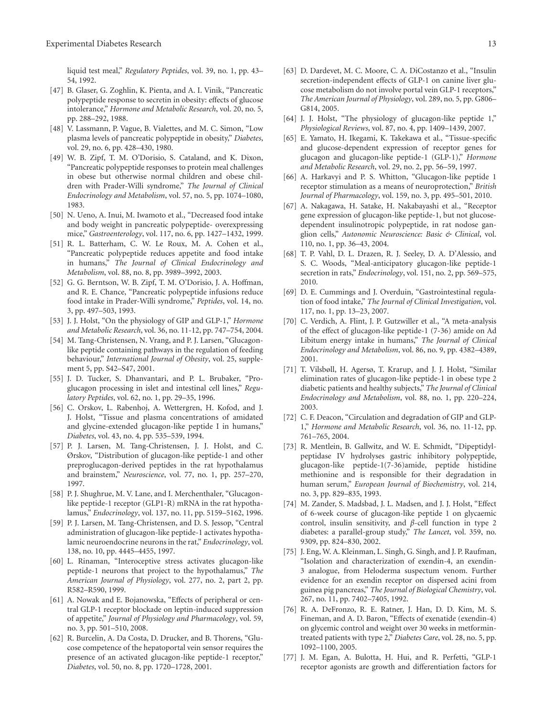liquid test meal," *Regulatory Peptides*, vol. 39, no. 1, pp. 43– 54, 1992.

- <span id="page-12-0"></span>[47] B. Glaser, G. Zoghlin, K. Pienta, and A. I. Vinik, "Pancreatic polypeptide response to secretin in obesity: effects of glucose intolerance," *Hormone and Metabolic Research*, vol. 20, no. 5, pp. 288–292, 1988.
- <span id="page-12-1"></span>[48] V. Lassmann, P. Vague, B. Vialettes, and M. C. Simon, "Low plasma levels of pancreatic polypeptide in obesity," *Diabetes*, vol. 29, no. 6, pp. 428–430, 1980.
- <span id="page-12-2"></span>[49] W. B. Zipf, T. M. O'Dorisio, S. Cataland, and K. Dixon, "Pancreatic polypeptide responses to protein meal challenges in obese but otherwise normal children and obese children with Prader-Willi syndrome," *The Journal of Clinical Endocrinology and Metabolism*, vol. 57, no. 5, pp. 1074–1080, 1983.
- <span id="page-12-3"></span>[50] N. Ueno, A. Inui, M. Iwamoto et al., "Decreased food intake and body weight in pancreatic polypeptide- overexpressing mice," *Gastroenterology*, vol. 117, no. 6, pp. 1427–1432, 1999.
- <span id="page-12-4"></span>[51] R. L. Batterham, C. W. Le Roux, M. A. Cohen et al., "Pancreatic polypeptide reduces appetite and food intake in humans," *The Journal of Clinical Endocrinology and Metabolism*, vol. 88, no. 8, pp. 3989–3992, 2003.
- <span id="page-12-5"></span>[52] G. G. Berntson, W. B. Zipf, T. M. O'Dorisio, J. A. Hoffman, and R. E. Chance, "Pancreatic polypeptide infusions reduce food intake in Prader-Willi syndrome," *Peptides*, vol. 14, no. 3, pp. 497–503, 1993.
- <span id="page-12-6"></span>[53] J. J. Holst, "On the physiology of GIP and GLP-1," *Hormone and Metabolic Research*, vol. 36, no. 11-12, pp. 747–754, 2004.
- <span id="page-12-7"></span>[54] M. Tang-Christensen, N. Vrang, and P. J. Larsen, "Glucagonlike peptide containing pathways in the regulation of feeding behaviour," *International Journal of Obesity*, vol. 25, supplement 5, pp. S42–S47, 2001.
- <span id="page-12-8"></span>[55] J. D. Tucker, S. Dhanvantari, and P. L. Brubaker, "Proglucagon processing in islet and intestinal cell lines," *Regulatory Peptides*, vol. 62, no. 1, pp. 29–35, 1996.
- <span id="page-12-9"></span>[56] C. Orskov, L. Rabenhoj, A. Wettergren, H. Kofod, and J. J. Holst, "Tissue and plasma concentrations of amidated and glycine-extended glucagon-like peptide I in humans," *Diabetes*, vol. 43, no. 4, pp. 535–539, 1994.
- <span id="page-12-10"></span>[57] P. J. Larsen, M. Tang-Christensen, J. J. Holst, and C. Ørskov, "Distribution of glucagon-like peptide-1 and other preproglucagon-derived peptides in the rat hypothalamus and brainstem," *Neuroscience*, vol. 77, no. 1, pp. 257–270, 1997.
- <span id="page-12-11"></span>[58] P. J. Shughrue, M. V. Lane, and I. Merchenthaler, "Glucagonlike peptide-1 receptor (GLP1-R) mRNA in the rat hypothalamus," *Endocrinology*, vol. 137, no. 11, pp. 5159–5162, 1996.
- <span id="page-12-12"></span>[59] P. J. Larsen, M. Tang-Christensen, and D. S. Jessop, "Central administration of glucagon-like peptide-1 activates hypothalamic neuroendocrine neurons in the rat," *Endocrinology*, vol. 138, no. 10, pp. 4445–4455, 1997.
- <span id="page-12-13"></span>[60] L. Rinaman, "Interoceptive stress activates glucagon-like peptide-1 neurons that project to the hypothalamus," *The American Journal of Physiology*, vol. 277, no. 2, part 2, pp. R582–R590, 1999.
- <span id="page-12-14"></span>[61] A. Nowak and E. Bojanowska, "Effects of peripheral or central GLP-1 receptor blockade on leptin-induced suppression of appetite," *Journal of Physiology and Pharmacology*, vol. 59, no. 3, pp. 501–510, 2008.
- <span id="page-12-15"></span>[62] R. Burcelin, A. Da Costa, D. Drucker, and B. Thorens, "Glucose competence of the hepatoportal vein sensor requires the presence of an activated glucagon-like peptide-1 receptor," *Diabetes*, vol. 50, no. 8, pp. 1720–1728, 2001.
- <span id="page-12-16"></span>[63] D. Dardevet, M. C. Moore, C. A. DiCostanzo et al., "Insulin secretion-independent effects of GLP-1 on canine liver glucose metabolism do not involve portal vein GLP-1 receptors," *The American Journal of Physiology*, vol. 289, no. 5, pp. G806– G814, 2005.
- <span id="page-12-17"></span>[64] J. J. Holst, "The physiology of glucagon-like peptide 1," *Physiological Reviews*, vol. 87, no. 4, pp. 1409–1439, 2007.
- <span id="page-12-18"></span>[65] E. Yamato, H. Ikegami, K. Takekawa et al., "Tissue-specific and glucose-dependent expression of receptor genes for glucagon and glucagon-like peptide-1 (GLP-1)," *Hormone and Metabolic Research*, vol. 29, no. 2, pp. 56–59, 1997.
- <span id="page-12-19"></span>[66] A. Harkavyi and P. S. Whitton, "Glucagon-like peptide 1 receptor stimulation as a means of neuroprotection," *British Journal of Pharmacology*, vol. 159, no. 3, pp. 495–501, 2010.
- <span id="page-12-20"></span>[67] A. Nakagawa, H. Satake, H. Nakabayashi et al., "Receptor gene expression of glucagon-like peptide-1, but not glucosedependent insulinotropic polypeptide, in rat nodose ganglion cells," *Autonomic Neuroscience: Basic & Clinical*, vol. 110, no. 1, pp. 36–43, 2004.
- <span id="page-12-21"></span>[68] T. P. Vahl, D. L. Drazen, R. J. Seeley, D. A. D'Alessio, and S. C. Woods, "Meal-anticipatory glucagon-like peptide-1 secretion in rats," *Endocrinology*, vol. 151, no. 2, pp. 569–575, 2010.
- <span id="page-12-22"></span>[69] D. E. Cummings and J. Overduin, "Gastrointestinal regulation of food intake," *The Journal of Clinical Investigation*, vol. 117, no. 1, pp. 13–23, 2007.
- <span id="page-12-23"></span>[70] C. Verdich, A. Flint, J. P. Gutzwiller et al., "A meta-analysis of the effect of glucagon-like peptide-1 (7-36) amide on Ad Libitum energy intake in humans," *The Journal of Clinical Endocrinology and Metabolism*, vol. 86, no. 9, pp. 4382–4389, 2001.
- <span id="page-12-24"></span>[71] T. Vilsbøll, H. Agersø, T. Krarup, and J. J. Holst, "Similar elimination rates of glucagon-like peptide-1 in obese type 2 diabetic patients and healthy subjects," *The Journal of Clinical Endocrinology and Metabolism*, vol. 88, no. 1, pp. 220–224, 2003.
- <span id="page-12-25"></span>[72] C. F. Deacon, "Circulation and degradation of GIP and GLP-1," *Hormone and Metabolic Research*, vol. 36, no. 11-12, pp. 761–765, 2004.
- <span id="page-12-26"></span>[73] R. Mentlein, B. Gallwitz, and W. E. Schmidt, "Dipeptidylpeptidase IV hydrolyses gastric inhibitory polypeptide, glucagon-like peptide-1(7-36)amide, peptide histidine methionine and is responsible for their degradation in human serum," *European Journal of Biochemistry*, vol. 214, no. 3, pp. 829–835, 1993.
- <span id="page-12-27"></span>[74] M. Zander, S. Madsbad, J. L. Madsen, and J. J. Holst, "Effect of 6-week course of glucagon-like peptide 1 on glycaemic control, insulin sensitivity, and *β*-cell function in type 2 diabetes: a parallel-group study," *The Lancet*, vol. 359, no. 9309, pp. 824–830, 2002.
- <span id="page-12-28"></span>[75] J. Eng, W. A. Kleinman, L. Singh, G. Singh, and J. P. Raufman, "Isolation and characterization of exendin-4, an exendin-3 analogue, from Heloderma suspectum venom. Further evidence for an exendin receptor on dispersed acini from guinea pig pancreas," *The Journal of Biological Chemistry*, vol. 267, no. 11, pp. 7402–7405, 1992.
- <span id="page-12-29"></span>[76] R. A. DeFronzo, R. E. Ratner, J. Han, D. D. Kim, M. S. Fineman, and A. D. Baron, "Effects of exenatide (exendin-4) on glycemic control and weight over 30 weeks in metformintreated patients with type 2," *Diabetes Care*, vol. 28, no. 5, pp. 1092–1100, 2005.
- <span id="page-12-30"></span>[77] J. M. Egan, A. Bulotta, H. Hui, and R. Perfetti, "GLP-1 receptor agonists are growth and differentiation factors for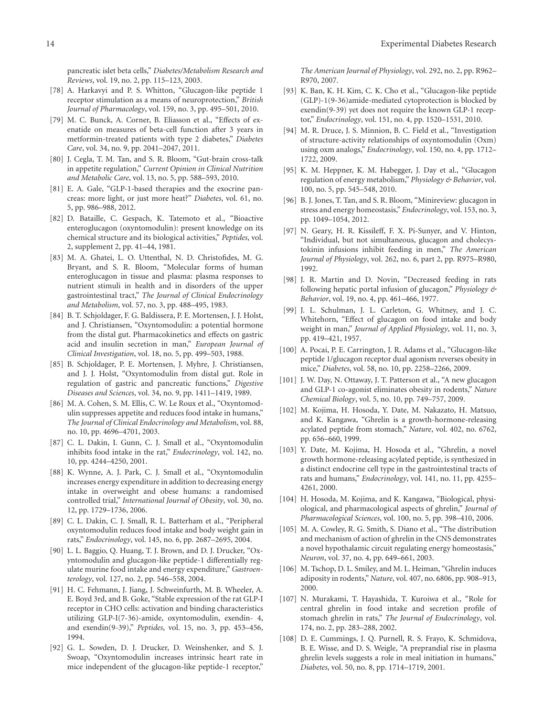pancreatic islet beta cells," *Diabetes/Metabolism Research and Reviews*, vol. 19, no. 2, pp. 115–123, 2003.

- <span id="page-13-0"></span>[78] A. Harkavyi and P. S. Whitton, "Glucagon-like peptide 1 receptor stimulation as a means of neuroprotection," *British Journal of Pharmacology*, vol. 159, no. 3, pp. 495–501, 2010.
- <span id="page-13-1"></span>[79] M. C. Bunck, A. Corner, B. Eliasson et al., "Effects of exenatide on measures of beta-cell function after 3 years in metformin-treated patients with type 2 diabetes," *Diabetes Care*, vol. 34, no. 9, pp. 2041–2047, 2011.
- <span id="page-13-2"></span>[80] J. Cegla, T. M. Tan, and S. R. Bloom, "Gut-brain cross-talk in appetite regulation," *Current Opinion in Clinical Nutrition and Metabolic Care*, vol. 13, no. 5, pp. 588–593, 2010.
- <span id="page-13-3"></span>[81] E. A. Gale, "GLP-1-based therapies and the exocrine pancreas: more light, or just more heat?" *Diabetes*, vol. 61, no. 5, pp. 986–988, 2012.
- <span id="page-13-4"></span>[82] D. Bataille, C. Gespach, K. Tatemoto et al., "Bioactive enteroglucagon (oxyntomodulin): present knowledge on its chemical structure and its biological activities," *Peptides*, vol. 2, supplement 2, pp. 41–44, 1981.
- <span id="page-13-5"></span>[83] M. A. Ghatei, L. O. Uttenthal, N. D. Christofides, M. G. Bryant, and S. R. Bloom, "Molecular forms of human enteroglucagon in tissue and plasma: plasma responses to nutrient stimuli in health and in disorders of the upper gastrointestinal tract," *The Journal of Clinical Endocrinology and Metabolism*, vol. 57, no. 3, pp. 488–495, 1983.
- <span id="page-13-6"></span>[84] B. T. Schjoldager, F. G. Baldissera, P. E. Mortensen, J. J. Holst, and J. Christiansen, "Oxyntomodulin: a potential hormone from the distal gut. Pharmacokinetics and effects on gastric acid and insulin secretion in man," *European Journal of Clinical Investigation*, vol. 18, no. 5, pp. 499–503, 1988.
- <span id="page-13-7"></span>[85] B. Schjoldager, P. E. Mortensen, J. Myhre, J. Christiansen, and J. J. Holst, "Oxyntomodulin from distal gut. Role in regulation of gastric and pancreatic functions," *Digestive Diseases and Sciences*, vol. 34, no. 9, pp. 1411–1419, 1989.
- <span id="page-13-8"></span>[86] M. A. Cohen, S. M. Ellis, C. W. Le Roux et al., "Oxyntomodulin suppresses appetite and reduces food intake in humans," *The Journal of Clinical Endocrinology and Metabolism*, vol. 88, no. 10, pp. 4696–4701, 2003.
- <span id="page-13-13"></span>[87] C. L. Dakin, I. Gunn, C. J. Small et al., "Oxyntomodulin inhibits food intake in the rat," *Endocrinology*, vol. 142, no. 10, pp. 4244–4250, 2001.
- <span id="page-13-9"></span>[88] K. Wynne, A. J. Park, C. J. Small et al., "Oxyntomodulin increases energy expenditure in addition to decreasing energy intake in overweight and obese humans: a randomised controlled trial," *International Journal of Obesity*, vol. 30, no. 12, pp. 1729–1736, 2006.
- <span id="page-13-10"></span>[89] C. L. Dakin, C. J. Small, R. L. Batterham et al., "Peripheral oxyntomodulin reduces food intake and body weight gain in rats," *Endocrinology*, vol. 145, no. 6, pp. 2687–2695, 2004.
- <span id="page-13-11"></span>[90] L. L. Baggio, Q. Huang, T. J. Brown, and D. J. Drucker, "Oxyntomodulin and glucagon-like peptide-1 differentially regulate murine food intake and energy expenditure," *Gastroenterology*, vol. 127, no. 2, pp. 546–558, 2004.
- <span id="page-13-12"></span>[91] H. C. Fehmann, J. Jiang, J. Schweinfurth, M. B. Wheeler, A. E. Boyd 3rd, and B. Goke, "Stable expression of the rat GLP-I receptor in CHO cells: activation and binding characteristics utilizing GLP-I(7-36)-amide, oxyntomodulin, exendin- 4, and exendin(9-39)," *Peptides*, vol. 15, no. 3, pp. 453–456, 1994.
- <span id="page-13-14"></span>[92] G. L. Sowden, D. J. Drucker, D. Weinshenker, and S. J. Swoap, "Oxyntomodulin increases intrinsic heart rate in mice independent of the glucagon-like peptide-1 receptor,"

*The American Journal of Physiology*, vol. 292, no. 2, pp. R962– R970, 2007.

- <span id="page-13-15"></span>[93] K. Ban, K. H. Kim, C. K. Cho et al., "Glucagon-like peptide (GLP)-1(9-36)amide-mediated cytoprotection is blocked by exendin(9-39) yet does not require the known GLP-1 receptor," *Endocrinology*, vol. 151, no. 4, pp. 1520–1531, 2010.
- <span id="page-13-16"></span>[94] M. R. Druce, J. S. Minnion, B. C. Field et al., "Investigation of structure-activity relationships of oxyntomodulin (Oxm) using oxm analogs," *Endocrinology*, vol. 150, no. 4, pp. 1712– 1722, 2009.
- <span id="page-13-17"></span>[95] K. M. Heppner, K. M. Habegger, J. Day et al., "Glucagon regulation of energy metabolism," *Physiology & Behavior*, vol. 100, no. 5, pp. 545–548, 2010.
- <span id="page-13-18"></span>[96] B. J. Jones, T. Tan, and S. R. Bloom, "Minireview: glucagon in stress and energy homeostasis," *Endocrinology*, vol. 153, no. 3, pp. 1049–1054, 2012.
- <span id="page-13-19"></span>[97] N. Geary, H. R. Kissileff, F. X. Pi-Sunyer, and V. Hinton, "Individual, but not simultaneous, glucagon and cholecystokinin infusions inhibit feeding in men," *The American Journal of Physiology*, vol. 262, no. 6, part 2, pp. R975–R980, 1992.
- <span id="page-13-20"></span>[98] J. R. Martin and D. Novin, "Decreased feeding in rats following hepatic portal infusion of glucagon," *Physiology & Behavior*, vol. 19, no. 4, pp. 461–466, 1977.
- <span id="page-13-21"></span>[99] J. L. Schulman, J. L. Carleton, G. Whitney, and J. C. Whitehorn, "Effect of glucagon on food intake and body weight in man," *Journal of Applied Physiology*, vol. 11, no. 3, pp. 419–421, 1957.
- <span id="page-13-22"></span>[100] A. Pocai, P. E. Carrington, J. R. Adams et al., "Glucagon-like peptide 1/glucagon receptor dual agonism reverses obesity in mice," *Diabetes*, vol. 58, no. 10, pp. 2258–2266, 2009.
- <span id="page-13-23"></span>[101] J. W. Day, N. Ottaway, J. T. Patterson et al., "A new glucagon and GLP-1 co-agonist eliminates obesity in rodents," *Nature Chemical Biology*, vol. 5, no. 10, pp. 749–757, 2009.
- <span id="page-13-24"></span>[102] M. Kojima, H. Hosoda, Y. Date, M. Nakazato, H. Matsuo, and K. Kangawa, "Ghrelin is a growth-hormone-releasing acylated peptide from stomach," *Nature*, vol. 402, no. 6762, pp. 656–660, 1999.
- <span id="page-13-25"></span>[103] Y. Date, M. Kojima, H. Hosoda et al., "Ghrelin, a novel growth hormone-releasing acylated peptide, is synthesized in a distinct endocrine cell type in the gastrointestinal tracts of rats and humans," *Endocrinology*, vol. 141, no. 11, pp. 4255– 4261, 2000.
- <span id="page-13-26"></span>[104] H. Hosoda, M. Kojima, and K. Kangawa, "Biological, physiological, and pharmacological aspects of ghrelin," *Journal of Pharmacological Sciences*, vol. 100, no. 5, pp. 398–410, 2006.
- <span id="page-13-27"></span>[105] M. A. Cowley, R. G. Smith, S. Diano et al., "The distribution and mechanism of action of ghrelin in the CNS demonstrates a novel hypothalamic circuit regulating energy homeostasis," *Neuron*, vol. 37, no. 4, pp. 649–661, 2003.
- <span id="page-13-28"></span>[106] M. Tschop, D. L. Smiley, and M. L. Heiman, "Ghrelin induces adiposity in rodents," *Nature*, vol. 407, no. 6806, pp. 908–913, 2000.
- <span id="page-13-29"></span>[107] N. Murakami, T. Hayashida, T. Kuroiwa et al., "Role for central ghrelin in food intake and secretion profile of stomach ghrelin in rats," *The Journal of Endocrinology*, vol. 174, no. 2, pp. 283–288, 2002.
- <span id="page-13-30"></span>[108] D. E. Cummings, J. Q. Purnell, R. S. Frayo, K. Schmidova, B. E. Wisse, and D. S. Weigle, "A preprandial rise in plasma ghrelin levels suggests a role in meal initiation in humans," *Diabetes*, vol. 50, no. 8, pp. 1714–1719, 2001.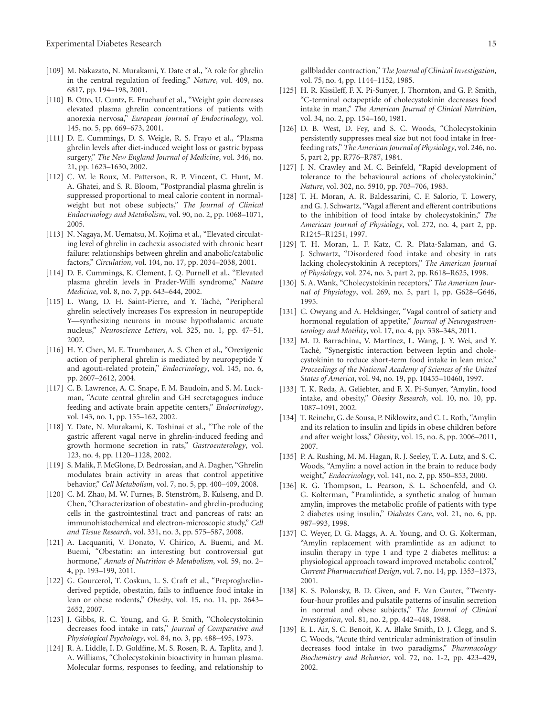- <span id="page-14-0"></span>[109] M. Nakazato, N. Murakami, Y. Date et al., "A role for ghrelin in the central regulation of feeding," *Nature*, vol. 409, no. 6817, pp. 194–198, 2001.
- <span id="page-14-1"></span>[110] B. Otto, U. Cuntz, E. Fruehauf et al., "Weight gain decreases elevated plasma ghrelin concentrations of patients with anorexia nervosa," *European Journal of Endocrinology*, vol. 145, no. 5, pp. 669–673, 2001.
- <span id="page-14-2"></span>[111] D. E. Cummings, D. S. Weigle, R. S. Frayo et al., "Plasma ghrelin levels after diet-induced weight loss or gastric bypass surgery," *The New England Journal of Medicine*, vol. 346, no. 21, pp. 1623–1630, 2002.
- <span id="page-14-3"></span>[112] C. W. le Roux, M. Patterson, R. P. Vincent, C. Hunt, M. A. Ghatei, and S. R. Bloom, "Postprandial plasma ghrelin is suppressed proportional to meal calorie content in normalweight but not obese subjects," *The Journal of Clinical Endocrinology and Metabolism*, vol. 90, no. 2, pp. 1068–1071, 2005.
- <span id="page-14-4"></span>[113] N. Nagaya, M. Uematsu, M. Kojima et al., "Elevated circulating level of ghrelin in cachexia associated with chronic heart failure: relationships between ghrelin and anabolic/catabolic factors," *Circulation*, vol. 104, no. 17, pp. 2034–2038, 2001.
- <span id="page-14-5"></span>[114] D. E. Cummings, K. Clement, J. Q. Purnell et al., "Elevated plasma ghrelin levels in Prader-Willi syndrome," *Nature Medicine*, vol. 8, no. 7, pp. 643–644, 2002.
- <span id="page-14-6"></span>[115] L. Wang, D. H. Saint-Pierre, and Y. Taché, "Peripheral ghrelin selectively increases Fos expression in neuropeptide Y—synthesizing neurons in mouse hypothalamic arcuate nucleus," *Neuroscience Letters*, vol. 325, no. 1, pp. 47–51, 2002.
- <span id="page-14-7"></span>[116] H. Y. Chen, M. E. Trumbauer, A. S. Chen et al., "Orexigenic action of peripheral ghrelin is mediated by neuropeptide Y and agouti-related protein," *Endocrinology*, vol. 145, no. 6, pp. 2607–2612, 2004.
- <span id="page-14-8"></span>[117] C. B. Lawrence, A. C. Snape, F. M. Baudoin, and S. M. Luckman, "Acute central ghrelin and GH secretagogues induce feeding and activate brain appetite centers," *Endocrinology*, vol. 143, no. 1, pp. 155–162, 2002.
- <span id="page-14-9"></span>[118] Y. Date, N. Murakami, K. Toshinai et al., "The role of the gastric afferent vagal nerve in ghrelin-induced feeding and growth hormone secretion in rats," *Gastroenterology*, vol. 123, no. 4, pp. 1120–1128, 2002.
- <span id="page-14-10"></span>[119] S. Malik, F. McGlone, D. Bedrossian, and A. Dagher, "Ghrelin modulates brain activity in areas that control appetitive behavior," *Cell Metabolism*, vol. 7, no. 5, pp. 400–409, 2008.
- <span id="page-14-11"></span>[120] C. M. Zhao, M. W. Furnes, B. Stenström, B. Kulseng, and D. Chen, "Characterization of obestatin- and ghrelin-producing cells in the gastrointestinal tract and pancreas of rats: an immunohistochemical and electron-microscopic study," *Cell and Tissue Research*, vol. 331, no. 3, pp. 575–587, 2008.
- <span id="page-14-12"></span>[121] A. Lacquaniti, V. Donato, V. Chirico, A. Buemi, and M. Buemi, "Obestatin: an interesting but controversial gut hormone," *Annals of Nutrition & Metabolism*, vol. 59, no. 2– 4, pp. 193–199, 2011.
- <span id="page-14-13"></span>[122] G. Gourcerol, T. Coskun, L. S. Craft et al., "Preproghrelinderived peptide, obestatin, fails to influence food intake in lean or obese rodents," *Obesity*, vol. 15, no. 11, pp. 2643– 2652, 2007.
- <span id="page-14-14"></span>[123] J. Gibbs, R. C. Young, and G. P. Smith, "Cholecystokinin decreases food intake in rats," *Journal of Comparative and Physiological Psychology*, vol. 84, no. 3, pp. 488–495, 1973.
- <span id="page-14-15"></span>[124] R. A. Liddle, I. D. Goldfine, M. S. Rosen, R. A. Taplitz, and J. A. Williams, "Cholecystokinin bioactivity in human plasma. Molecular forms, responses to feeding, and relationship to

gallbladder contraction," *The Journal of Clinical Investigation*, vol. 75, no. 4, pp. 1144–1152, 1985.

- <span id="page-14-16"></span>[125] H. R. Kissileff, F. X. Pi-Sunyer, J. Thornton, and G. P. Smith, "C-terminal octapeptide of cholecystokinin decreases food intake in man," *The American Journal of Clinical Nutrition*, vol. 34, no. 2, pp. 154–160, 1981.
- <span id="page-14-17"></span>[126] D. B. West, D. Fey, and S. C. Woods, "Cholecystokinin persistently suppresses meal size but not food intake in freefeeding rats," *The American Journal of Physiology*, vol. 246, no. 5, part 2, pp. R776–R787, 1984.
- <span id="page-14-18"></span>[127] J. N. Crawley and M. C. Beinfeld, "Rapid development of tolerance to the behavioural actions of cholecystokinin," *Nature*, vol. 302, no. 5910, pp. 703–706, 1983.
- <span id="page-14-19"></span>[128] T. H. Moran, A. R. Baldessarini, C. F. Salorio, T. Lowery, and G. J. Schwartz, "Vagal afferent and efferent contributions to the inhibition of food intake by cholecystokinin," *The American Journal of Physiology*, vol. 272, no. 4, part 2, pp. R1245–R1251, 1997.
- <span id="page-14-20"></span>[129] T. H. Moran, L. F. Katz, C. R. Plata-Salaman, and G. J. Schwartz, "Disordered food intake and obesity in rats lacking cholecystokinin A receptors," *The American Journal of Physiology*, vol. 274, no. 3, part 2, pp. R618–R625, 1998.
- <span id="page-14-21"></span>[130] S. A. Wank, "Cholecystokinin receptors," *The American Journal of Physiology*, vol. 269, no. 5, part 1, pp. G628–G646, 1995.
- <span id="page-14-22"></span>[131] C. Owyang and A. Heldsinger, "Vagal control of satiety and hormonal regulation of appetite," *Journal of Neurogastroenterology and Motility*, vol. 17, no. 4, pp. 338–348, 2011.
- <span id="page-14-23"></span>[132] M. D. Barrachina, V. Martínez, L. Wang, J. Y. Wei, and Y. Taché, "Synergistic interaction between leptin and cholecystokinin to reduce short-term food intake in lean mice," *Proceedings of the National Academy of Sciences of the United States of America*, vol. 94, no. 19, pp. 10455–10460, 1997.
- <span id="page-14-24"></span>[133] T. K. Reda, A. Geliebter, and F. X. Pi-Sunyer, "Amylin, food intake, and obesity," *Obesity Research*, vol. 10, no. 10, pp. 1087–1091, 2002.
- <span id="page-14-25"></span>[134] T. Reinehr, G. de Sousa, P. Niklowitz, and C. L. Roth, "Amylin and its relation to insulin and lipids in obese children before and after weight loss," *Obesity*, vol. 15, no. 8, pp. 2006–2011, 2007.
- <span id="page-14-26"></span>[135] P. A. Rushing, M. M. Hagan, R. J. Seeley, T. A. Lutz, and S. C. Woods, "Amylin: a novel action in the brain to reduce body weight," *Endocrinology*, vol. 141, no. 2, pp. 850–853, 2000.
- <span id="page-14-27"></span>[136] R. G. Thompson, L. Pearson, S. L. Schoenfeld, and O. G. Kolterman, "Pramlintide, a synthetic analog of human amylin, improves the metabolic profile of patients with type 2 diabetes using insulin," *Diabetes Care*, vol. 21, no. 6, pp. 987–993, 1998.
- <span id="page-14-28"></span>[137] C. Weyer, D. G. Maggs, A. A. Young, and O. G. Kolterman, "Amylin replacement with pramlintide as an adjunct to insulin therapy in type 1 and type 2 diabetes mellitus: a physiological approach toward improved metabolic control," *Current Pharmaceutical Design*, vol. 7, no. 14, pp. 1353–1373, 2001.
- <span id="page-14-29"></span>[138] K. S. Polonsky, B. D. Given, and E. Van Cauter, "Twentyfour-hour profiles and pulsatile patterns of insulin secretion in normal and obese subjects," *The Journal of Clinical Investigation*, vol. 81, no. 2, pp. 442–448, 1988.
- <span id="page-14-30"></span>[139] E. L. Air, S. C. Benoit, K. A. Blake Smith, D. J. Clegg, and S. C. Woods, "Acute third ventricular administration of insulin decreases food intake in two paradigms," *Pharmacology Biochemistry and Behavior*, vol. 72, no. 1-2, pp. 423–429, 2002.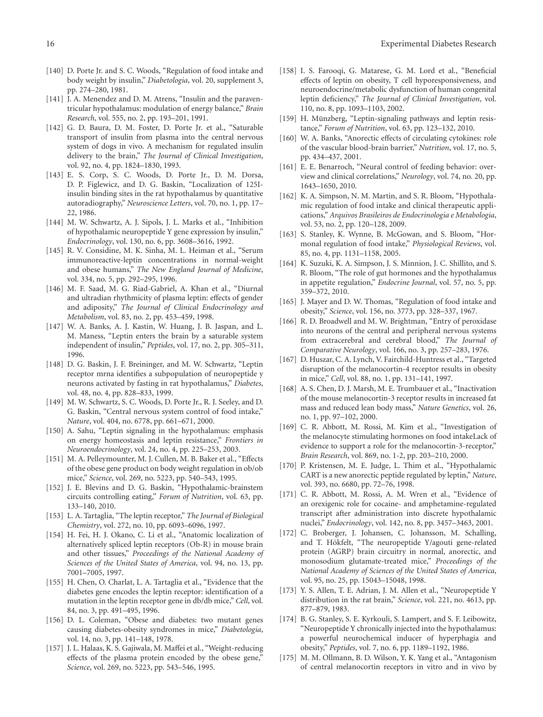- <span id="page-15-0"></span>[140] D. Porte Jr. and S. C. Woods, "Regulation of food intake and body weight by insulin," *Diabetologia*, vol. 20, supplement 3, pp. 274–280, 1981.
- <span id="page-15-1"></span>[141] J. A. Menendez and D. M. Atrens, "Insulin and the paraventricular hypothalamus: modulation of energy balance," *Brain Research*, vol. 555, no. 2, pp. 193–201, 1991.
- <span id="page-15-2"></span>[142] G. D. Baura, D. M. Foster, D. Porte Jr. et al., "Saturable transport of insulin from plasma into the central nervous system of dogs in vivo. A mechanism for regulated insulin delivery to the brain," *The Journal of Clinical Investigation*, vol. 92, no. 4, pp. 1824–1830, 1993.
- <span id="page-15-3"></span>[143] E. S. Corp, S. C. Woods, D. Porte Jr., D. M. Dorsa, D. P. Figlewicz, and D. G. Baskin, "Localization of 125Iinsulin binding sites in the rat hypothalamus by quantitative autoradiography," *Neuroscience Letters*, vol. 70, no. 1, pp. 17– 22, 1986.
- <span id="page-15-4"></span>[144] M. W. Schwartz, A. J. Sipols, J. L. Marks et al., "Inhibition of hypothalamic neuropeptide Y gene expression by insulin," *Endocrinology*, vol. 130, no. 6, pp. 3608–3616, 1992.
- <span id="page-15-5"></span>[145] R. V. Considine, M. K. Sinha, M. L. Heiman et al., "Serum immunoreactive-leptin concentrations in normal-weight and obese humans," *The New England Journal of Medicine*, vol. 334, no. 5, pp. 292–295, 1996.
- <span id="page-15-6"></span>[146] M. F. Saad, M. G. Riad-Gabriel, A. Khan et al., "Diurnal and ultradian rhythmicity of plasma leptin: effects of gender and adiposity," *The Journal of Clinical Endocrinology and Metabolism*, vol. 83, no. 2, pp. 453–459, 1998.
- <span id="page-15-7"></span>[147] W. A. Banks, A. J. Kastin, W. Huang, J. B. Jaspan, and L. M. Maness, "Leptin enters the brain by a saturable system independent of insulin," *Peptides*, vol. 17, no. 2, pp. 305–311, 1996.
- <span id="page-15-8"></span>[148] D. G. Baskin, J. F. Breininger, and M. W. Schwartz, "Leptin receptor mrna identifies a subpopulation of neuropeptide y neurons activated by fasting in rat hypothalamus," *Diabetes*, vol. 48, no. 4, pp. 828–833, 1999.
- <span id="page-15-9"></span>[149] M. W. Schwartz, S. C. Woods, D. Porte Jr., R. J. Seeley, and D. G. Baskin, "Central nervous system control of food intake," *Nature*, vol. 404, no. 6778, pp. 661–671, 2000.
- <span id="page-15-10"></span>[150] A. Sahu, "Leptin signaling in the hypothalamus: emphasis on energy homeostasis and leptin resistance," *Frontiers in Neuroendocrinology*, vol. 24, no. 4, pp. 225–253, 2003.
- <span id="page-15-11"></span>[151] M. A. Pelleymounter, M. J. Cullen, M. B. Baker et al., "Effects of the obese gene product on body weight regulation in ob/ob mice," *Science*, vol. 269, no. 5223, pp. 540–543, 1995.
- <span id="page-15-12"></span>[152] J. E. Blevins and D. G. Baskin, "Hypothalamic-brainstem circuits controlling eating," *Forum of Nutrition*, vol. 63, pp. 133–140, 2010.
- <span id="page-15-13"></span>[153] L. A. Tartaglia, "The leptin receptor," *The Journal of Biological Chemistry*, vol. 272, no. 10, pp. 6093–6096, 1997.
- <span id="page-15-14"></span>[154] H. Fei, H. J. Okano, C. Li et al., "Anatomic localization of alternatively spliced leptin receptors (Ob-R) in mouse brain and other tissues," *Proceedings of the National Academy of Sciences of the United States of America*, vol. 94, no. 13, pp. 7001–7005, 1997.
- <span id="page-15-15"></span>[155] H. Chen, O. Charlat, L. A. Tartaglia et al., "Evidence that the diabetes gene encodes the leptin receptor: identification of a mutation in the leptin receptor gene in db/db mice," *Cell*, vol. 84, no. 3, pp. 491–495, 1996.
- <span id="page-15-16"></span>[156] D. L. Coleman, "Obese and diabetes: two mutant genes causing diabetes-obesity syndromes in mice," *Diabetologia*, vol. 14, no. 3, pp. 141–148, 1978.
- <span id="page-15-17"></span>[157] J. L. Halaas, K. S. Gajiwala, M. Maffei et al., "Weight-reducing effects of the plasma protein encoded by the obese gene," *Science*, vol. 269, no. 5223, pp. 543–546, 1995.
- <span id="page-15-18"></span>[158] I. S. Farooqi, G. Matarese, G. M. Lord et al., "Beneficial effects of leptin on obesity, T cell hyporesponsiveness, and neuroendocrine/metabolic dysfunction of human congenital leptin deficiency," *The Journal of Clinical Investigation*, vol. 110, no. 8, pp. 1093–1103, 2002.
- <span id="page-15-19"></span>[159] H. Münzberg, "Leptin-signaling pathways and leptin resistance," *Forum of Nutrition*, vol. 63, pp. 123–132, 2010.
- <span id="page-15-20"></span>[160] W. A. Banks, "Anorectic effects of circulating cytokines: role of the vascular blood-brain barrier," *Nutrition*, vol. 17, no. 5, pp. 434–437, 2001.
- <span id="page-15-21"></span>[161] E. E. Benarroch, "Neural control of feeding behavior: overview and clinical correlations," *Neurology*, vol. 74, no. 20, pp. 1643–1650, 2010.
- <span id="page-15-22"></span>[162] K. A. Simpson, N. M. Martin, and S. R. Bloom, "Hypothalamic regulation of food intake and clinical therapeutic applications," *Arquivos Brasileiros de Endocrinologia e Metabologia*, vol. 53, no. 2, pp. 120–128, 2009.
- <span id="page-15-35"></span>[163] S. Stanley, K. Wynne, B. McGowan, and S. Bloom, "Hormonal regulation of food intake," *Physiological Reviews*, vol. 85, no. 4, pp. 1131–1158, 2005.
- <span id="page-15-23"></span>[164] K. Suzuki, K. A. Simpson, J. S. Minnion, J. C. Shillito, and S. R. Bloom, "The role of gut hormones and the hypothalamus in appetite regulation," *Endocrine Journal*, vol. 57, no. 5, pp. 359–372, 2010.
- <span id="page-15-24"></span>[165] J. Mayer and D. W. Thomas, "Regulation of food intake and obesity," *Science*, vol. 156, no. 3773, pp. 328–337, 1967.
- <span id="page-15-25"></span>[166] R. D. Broadwell and M. W. Brightman, "Entry of peroxidase into neurons of the central and peripheral nervous systems from extracerebral and cerebral blood," *The Journal of Comparative Neurology*, vol. 166, no. 3, pp. 257–283, 1976.
- <span id="page-15-26"></span>[167] D. Huszar, C. A. Lynch, V. Fairchild-Huntress et al., "Targeted disruption of the melanocortin-4 receptor results in obesity in mice," *Cell*, vol. 88, no. 1, pp. 131–141, 1997.
- <span id="page-15-27"></span>[168] A. S. Chen, D. J. Marsh, M. E. Trumbauer et al., "Inactivation of the mouse melanocortin-3 receptor results in increased fat mass and reduced lean body mass," *Nature Genetics*, vol. 26, no. 1, pp. 97–102, 2000.
- <span id="page-15-28"></span>[169] C. R. Abbott, M. Rossi, M. Kim et al., "Investigation of the melanocyte stimulating hormones on food intakeLack of evidence to support a role for the melanocortin-3-receptor," *Brain Research*, vol. 869, no. 1-2, pp. 203–210, 2000.
- <span id="page-15-29"></span>[170] P. Kristensen, M. E. Judge, L. Thim et al., "Hypothalamic CART is a new anorectic peptide regulated by leptin," *Nature*, vol. 393, no. 6680, pp. 72–76, 1998.
- <span id="page-15-30"></span>[171] C. R. Abbott, M. Rossi, A. M. Wren et al., "Evidence of an orexigenic role for cocaine- and amphetamine-regulated transcript after administration into discrete hypothalamic nuclei," *Endocrinology*, vol. 142, no. 8, pp. 3457–3463, 2001.
- <span id="page-15-31"></span>[172] C. Broberger, J. Johansen, C. Johansson, M. Schalling, and T. Hökfelt, "The neuropeptide Y/agouti gene-related protein (AGRP) brain circuitry in normal, anorectic, and monosodium glutamate-treated mice," *Proceedings of the National Academy of Sciences of the United States of America*, vol. 95, no. 25, pp. 15043–15048, 1998.
- <span id="page-15-32"></span>[173] Y. S. Allen, T. E. Adrian, J. M. Allen et al., "Neuropeptide Y distribution in the rat brain," *Science*, vol. 221, no. 4613, pp. 877–879, 1983.
- <span id="page-15-33"></span>[174] B. G. Stanley, S. E. Kyrkouli, S. Lampert, and S. F. Leibowitz, "Neuropeptide Y chronically injected into the hypothalamus: a powerful neurochemical inducer of hyperphagia and obesity," *Peptides*, vol. 7, no. 6, pp. 1189–1192, 1986.
- <span id="page-15-34"></span>[175] M. M. Ollmann, B. D. Wilson, Y. K. Yang et al., "Antagonism of central melanocortin receptors in vitro and in vivo by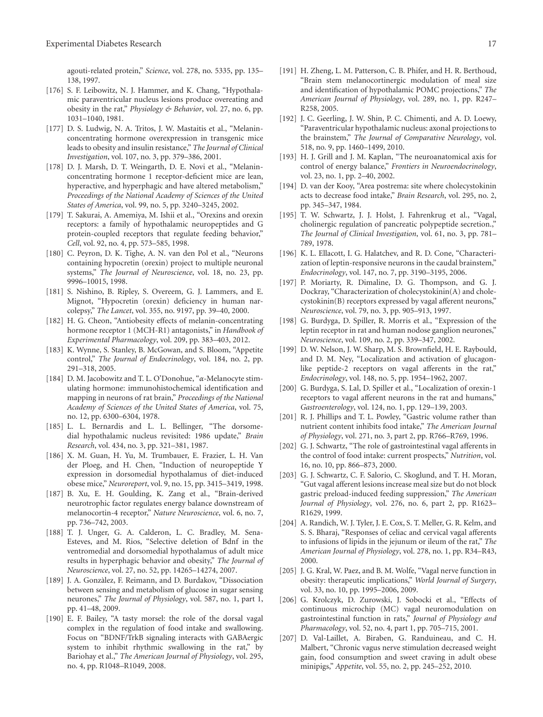agouti-related protein," *Science*, vol. 278, no. 5335, pp. 135– 138, 1997.

- <span id="page-16-0"></span>[176] S. F. Leibowitz, N. J. Hammer, and K. Chang, "Hypothalamic paraventricular nucleus lesions produce overeating and obesity in the rat," *Physiology & Behavior*, vol. 27, no. 6, pp. 1031–1040, 1981.
- <span id="page-16-1"></span>[177] D. S. Ludwig, N. A. Tritos, J. W. Mastaitis et al., "Melaninconcentrating hormone overexpression in transgenic mice leads to obesity and insulin resistance," *The Journal of Clinical Investigation*, vol. 107, no. 3, pp. 379–386, 2001.
- <span id="page-16-2"></span>[178] D. J. Marsh, D. T. Weingarth, D. E. Novi et al., "Melaninconcentrating hormone 1 receptor-deficient mice are lean, hyperactive, and hyperphagic and have altered metabolism," *Proceedings of the National Academy of Sciences of the United States of America*, vol. 99, no. 5, pp. 3240–3245, 2002.
- <span id="page-16-3"></span>[179] T. Sakurai, A. Amemiya, M. Ishii et al., "Orexins and orexin receptors: a family of hypothalamic neuropeptides and G protein-coupled receptors that regulate feeding behavior," *Cell*, vol. 92, no. 4, pp. 573–585, 1998.
- <span id="page-16-4"></span>[180] C. Peyron, D. K. Tighe, A. N. van den Pol et al., "Neurons containing hypocretin (orexin) project to multiple neuronal systems," *The Journal of Neuroscience*, vol. 18, no. 23, pp. 9996–10015, 1998.
- <span id="page-16-5"></span>[181] S. Nishino, B. Ripley, S. Overeem, G. J. Lammers, and E. Mignot, "Hypocretin (orexin) deficiency in human narcolepsy," *The Lancet*, vol. 355, no. 9197, pp. 39–40, 2000.
- <span id="page-16-6"></span>[182] H. G. Cheon, "Antiobesity effects of melanin-concentrating hormone receptor 1 (MCH-R1) antagonists," in *Handbook of Experimental Pharmacology*, vol. 209, pp. 383–403, 2012.
- <span id="page-16-7"></span>[183] K. Wynne, S. Stanley, B. McGowan, and S. Bloom, "Appetite control," *The Journal of Endocrinology*, vol. 184, no. 2, pp. 291–318, 2005.
- <span id="page-16-8"></span>[184] D. M. Jacobowitz and T. L. O'Donohue, "*α*-Melanocyte stimulating hormone: immunohistochemical identification and mapping in neurons of rat brain," *Proceedings of the National Academy of Sciences of the United States of America*, vol. 75, no. 12, pp. 6300–6304, 1978.
- <span id="page-16-9"></span>[185] L. L. Bernardis and L. L. Bellinger, "The dorsomedial hypothalamic nucleus revisited: 1986 update," *Brain Research*, vol. 434, no. 3, pp. 321–381, 1987.
- <span id="page-16-10"></span>[186] X. M. Guan, H. Yu, M. Trumbauer, E. Frazier, L. H. Van der Ploeg, and H. Chen, "Induction of neuropeptide Y expression in dorsomedial hypothalamus of diet-induced obese mice," *Neuroreport*, vol. 9, no. 15, pp. 3415–3419, 1998.
- <span id="page-16-11"></span>[187] B. Xu, E. H. Goulding, K. Zang et al., "Brain-derived neurotrophic factor regulates energy balance downstream of melanocortin-4 receptor," *Nature Neuroscience*, vol. 6, no. 7, pp. 736–742, 2003.
- <span id="page-16-12"></span>[188] T. J. Unger, G. A. Calderon, L. C. Bradley, M. Sena-Esteves, and M. Rios, "Selective deletion of Bdnf in the ventromedial and dorsomedial hypothalamus of adult mice results in hyperphagic behavior and obesity," *The Journal of Neuroscience*, vol. 27, no. 52, pp. 14265–14274, 2007.
- <span id="page-16-13"></span>[189] J. A. Gonzàlez, F. Reimann, and D. Burdakov, "Dissociation between sensing and metabolism of glucose in sugar sensing neurones," *The Journal of Physiology*, vol. 587, no. 1, part 1, pp. 41–48, 2009.
- <span id="page-16-14"></span>[190] E. F. Bailey, "A tasty morsel: the role of the dorsal vagal complex in the regulation of food intake and swallowing. Focus on "BDNF/TrkB signaling interacts with GABAergic system to inhibit rhythmic swallowing in the rat," by Bariohay et al.," *The American Journal of Physiology*, vol. 295, no. 4, pp. R1048–R1049, 2008.
- <span id="page-16-15"></span>[191] H. Zheng, L. M. Patterson, C. B. Phifer, and H. R. Berthoud, "Brain stem melanocortinergic modulation of meal size and identification of hypothalamic POMC projections," *The American Journal of Physiology*, vol. 289, no. 1, pp. R247– R258, 2005.
- <span id="page-16-16"></span>[192] J. C. Geerling, J. W. Shin, P. C. Chimenti, and A. D. Loewy, "Paraventricular hypothalamic nucleus: axonal projections to the brainstem," *The Journal of Comparative Neurology*, vol. 518, no. 9, pp. 1460–1499, 2010.
- <span id="page-16-17"></span>[193] H. J. Grill and J. M. Kaplan, "The neuroanatomical axis for control of energy balance," *Frontiers in Neuroendocrinology*, vol. 23, no. 1, pp. 2–40, 2002.
- <span id="page-16-18"></span>[194] D. van der Kooy, "Area postrema: site where cholecystokinin acts to decrease food intake," *Brain Research*, vol. 295, no. 2, pp. 345–347, 1984.
- <span id="page-16-19"></span>[195] T. W. Schwartz, J. J. Holst, J. Fahrenkrug et al., "Vagal, cholinergic regulation of pancreatic polypeptide secretion.," *The Journal of Clinical Investigation*, vol. 61, no. 3, pp. 781– 789, 1978.
- <span id="page-16-20"></span>[196] K. L. Ellacott, I. G. Halatchev, and R. D. Cone, "Characterization of leptin-responsive neurons in the caudal brainstem," *Endocrinology*, vol. 147, no. 7, pp. 3190–3195, 2006.
- <span id="page-16-21"></span>[197] P. Moriarty, R. Dimaline, D. G. Thompson, and G. J. Dockray, "Characterization of cholecystokinin(A) and cholecystokinin(B) receptors expressed by vagal afferent neurons," *Neuroscience*, vol. 79, no. 3, pp. 905–913, 1997.
- <span id="page-16-22"></span>[198] G. Burdyga, D. Spiller, R. Morris et al., "Expression of the leptin receptor in rat and human nodose ganglion neurones," *Neuroscience*, vol. 109, no. 2, pp. 339–347, 2002.
- <span id="page-16-23"></span>[199] D. W. Nelson, J. W. Sharp, M. S. Brownfield, H. E. Raybould, and D. M. Ney, "Localization and activation of glucagonlike peptide-2 receptors on vagal afferents in the rat," *Endocrinology*, vol. 148, no. 5, pp. 1954–1962, 2007.
- <span id="page-16-24"></span>[200] G. Burdyga, S. Lal, D. Spiller et al., "Localization of orexin-1 receptors to vagal afferent neurons in the rat and humans," *Gastroenterology*, vol. 124, no. 1, pp. 129–139, 2003.
- <span id="page-16-25"></span>[201] R. J. Phillips and T. L. Powley, "Gastric volume rather than nutrient content inhibits food intake," *The American Journal of Physiology*, vol. 271, no. 3, part 2, pp. R766–R769, 1996.
- <span id="page-16-26"></span>[202] G. J. Schwartz, "The role of gastrointestinal vagal afferents in the control of food intake: current prospects," *Nutrition*, vol. 16, no. 10, pp. 866–873, 2000.
- <span id="page-16-27"></span>[203] G. J. Schwartz, C. F. Salorio, C. Skoglund, and T. H. Moran, "Gut vagal afferent lesions increase meal size but do not block gastric preload-induced feeding suppression," *The American Journal of Physiology*, vol. 276, no. 6, part 2, pp. R1623– R1629, 1999.
- <span id="page-16-28"></span>[204] A. Randich, W. J. Tyler, J. E. Cox, S. T. Meller, G. R. Kelm, and S. S. Bharaj, "Responses of celiac and cervical vagal afferents to infusions of lipids in the jejunum or ileum of the rat," *The American Journal of Physiology*, vol. 278, no. 1, pp. R34–R43, 2000.
- <span id="page-16-29"></span>[205] J. G. Kral, W. Paez, and B. M. Wolfe, "Vagal nerve function in obesity: therapeutic implications," *World Journal of Surgery*, vol. 33, no. 10, pp. 1995–2006, 2009.
- <span id="page-16-30"></span>[206] G. Krolczyk, D. Zurowski, J. Sobocki et al., "Effects of continuous microchip (MC) vagal neuromodulation on gastrointestinal function in rats," *Journal of Physiology and Pharmacology*, vol. 52, no. 4, part 1, pp. 705–715, 2001.
- <span id="page-16-31"></span>[207] D. Val-Laillet, A. Biraben, G. Randuineau, and C. H. Malbert, "Chronic vagus nerve stimulation decreased weight gain, food consumption and sweet craving in adult obese minipigs," *Appetite*, vol. 55, no. 2, pp. 245–252, 2010.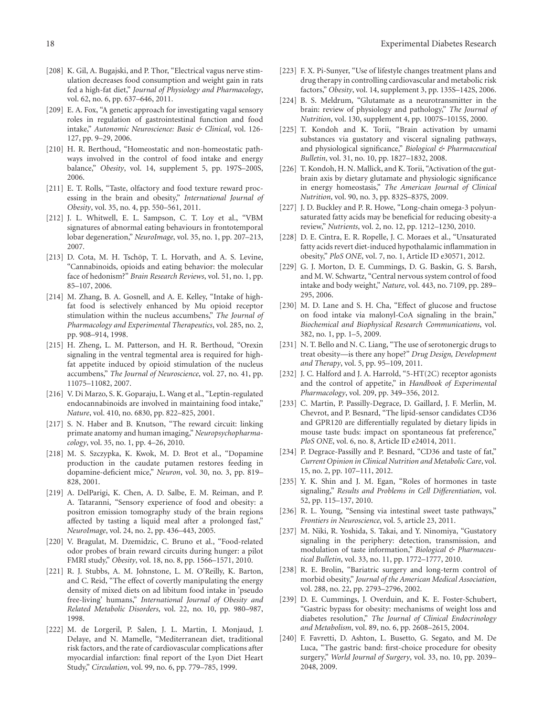- <span id="page-17-0"></span>[208] K. Gil, A. Bugajski, and P. Thor, "Electrical vagus nerve stimulation decreases food consumption and weight gain in rats fed a high-fat diet," *Journal of Physiology and Pharmacology*, vol. 62, no. 6, pp. 637–646, 2011.
- <span id="page-17-1"></span>[209] E. A. Fox, "A genetic approach for investigating vagal sensory roles in regulation of gastrointestinal function and food intake," *Autonomic Neuroscience: Basic & Clinical*, vol. 126- 127, pp. 9–29, 2006.
- <span id="page-17-2"></span>[210] H. R. Berthoud, "Homeostatic and non-homeostatic pathways involved in the control of food intake and energy balance," *Obesity*, vol. 14, supplement 5, pp. 197S–200S, 2006.
- <span id="page-17-3"></span>[211] E. T. Rolls, "Taste, olfactory and food texture reward processing in the brain and obesity," *International Journal of Obesity*, vol. 35, no. 4, pp. 550–561, 2011.
- <span id="page-17-4"></span>[212] J. L. Whitwell, E. L. Sampson, C. T. Loy et al., "VBM signatures of abnormal eating behaviours in frontotemporal lobar degeneration," *NeuroImage*, vol. 35, no. 1, pp. 207–213, 2007.
- <span id="page-17-5"></span>[213] D. Cota, M. H. Tschöp, T. L. Horvath, and A. S. Levine, "Cannabinoids, opioids and eating behavior: the molecular face of hedonism?" *Brain Research Reviews*, vol. 51, no. 1, pp. 85–107, 2006.
- <span id="page-17-6"></span>[214] M. Zhang, B. A. Gosnell, and A. E. Kelley, "Intake of highfat food is selectively enhanced by Mu opioid receptor stimulation within the nucleus accumbens," *The Journal of Pharmacology and Experimental Therapeutics*, vol. 285, no. 2, pp. 908–914, 1998.
- <span id="page-17-7"></span>[215] H. Zheng, L. M. Patterson, and H. R. Berthoud, "Orexin signaling in the ventral tegmental area is required for highfat appetite induced by opioid stimulation of the nucleus accumbens," *The Journal of Neuroscience*, vol. 27, no. 41, pp. 11075–11082, 2007.
- <span id="page-17-8"></span>[216] V. Di Marzo, S. K. Goparaju, L. Wang et al., "Leptin-regulated endocannabinoids are involved in maintaining food intake," *Nature*, vol. 410, no. 6830, pp. 822–825, 2001.
- <span id="page-17-9"></span>[217] S. N. Haber and B. Knutson, "The reward circuit: linking primate anatomy and human imaging," *Neuropsychopharmacology*, vol. 35, no. 1, pp. 4–26, 2010.
- <span id="page-17-10"></span>[218] M. S. Szczypka, K. Kwok, M. D. Brot et al., "Dopamine production in the caudate putamen restores feeding in dopamine-deficient mice," *Neuron*, vol. 30, no. 3, pp. 819– 828, 2001.
- <span id="page-17-11"></span>[219] A. DelParigi, K. Chen, A. D. Salbe, E. M. Reiman, and P. A. Tataranni, "Sensory experience of food and obesity: a positron emission tomography study of the brain regions affected by tasting a liquid meal after a prolonged fast," *NeuroImage*, vol. 24, no. 2, pp. 436–443, 2005.
- <span id="page-17-12"></span>[220] V. Bragulat, M. Dzemidzic, C. Bruno et al., "Food-related odor probes of brain reward circuits during hunger: a pilot FMRI study," *Obesity*, vol. 18, no. 8, pp. 1566–1571, 2010.
- <span id="page-17-13"></span>[221] R. J. Stubbs, A. M. Johnstone, L. M. O'Reilly, K. Barton, and C. Reid, "The effect of covertly manipulating the energy density of mixed diets on ad libitum food intake in 'pseudo free-living' humans," *International Journal of Obesity and Related Metabolic Disorders*, vol. 22, no. 10, pp. 980–987, 1998.
- <span id="page-17-14"></span>[222] M. de Lorgeril, P. Salen, J. L. Martin, I. Monjaud, J. Delaye, and N. Mamelle, "Mediterranean diet, traditional risk factors, and the rate of cardiovascular complications after myocardial infarction: final report of the Lyon Diet Heart Study," *Circulation*, vol. 99, no. 6, pp. 779–785, 1999.
- <span id="page-17-15"></span>[223] F. X. Pi-Sunyer, "Use of lifestyle changes treatment plans and drug therapy in controlling cardiovascular and metabolic risk factors," *Obesity*, vol. 14, supplement 3, pp. 135S–142S, 2006.
- <span id="page-17-16"></span>[224] B. S. Meldrum, "Glutamate as a neurotransmitter in the brain: review of physiology and pathology," *The Journal of Nutrition*, vol. 130, supplement 4, pp. 1007S–1015S, 2000.
- <span id="page-17-17"></span>[225] T. Kondoh and K. Torii, "Brain activation by umami substances via gustatory and visceral signaling pathways, and physiological significance," *Biological & Pharmaceutical Bulletin*, vol. 31, no. 10, pp. 1827–1832, 2008.
- <span id="page-17-18"></span>[226] T. Kondoh, H. N. Mallick, and K. Torii, "Activation of the gutbrain axis by dietary glutamate and physiologic significance in energy homeostasis," *The American Journal of Clinical Nutrition*, vol. 90, no. 3, pp. 832S–837S, 2009.
- <span id="page-17-19"></span>[227] J. D. Buckley and P. R. Howe, "Long-chain omega-3 polyunsaturated fatty acids may be beneficial for reducing obesity-a review," *Nutrients*, vol. 2, no. 12, pp. 1212–1230, 2010.
- <span id="page-17-20"></span>[228] D. E. Cintra, E. R. Ropelle, J. C. Moraes et al., "Unsaturated fatty acids revert diet-induced hypothalamic inflammation in obesity," *PloS ONE*, vol. 7, no. 1, Article ID e30571, 2012.
- <span id="page-17-21"></span>[229] G. J. Morton, D. E. Cummings, D. G. Baskin, G. S. Barsh, and M. W. Schwartz, "Central nervous system control of food intake and body weight," *Nature*, vol. 443, no. 7109, pp. 289– 295, 2006.
- <span id="page-17-22"></span>[230] M. D. Lane and S. H. Cha, "Effect of glucose and fructose on food intake via malonyl-CoA signaling in the brain," *Biochemical and Biophysical Research Communications*, vol. 382, no. 1, pp. 1–5, 2009.
- <span id="page-17-23"></span>[231] N. T. Bello and N. C. Liang, "The use of serotonergic drugs to treat obesity—is there any hope?" *Drug Design, Development and Therapy*, vol. 5, pp. 95–109, 2011.
- <span id="page-17-24"></span>[232] J. C. Halford and J. A. Harrold, "5-HT(2C) receptor agonists and the control of appetite," in *Handbook of Experimental Pharmacology*, vol. 209, pp. 349–356, 2012.
- <span id="page-17-25"></span>[233] C. Martin, P. Passilly-Degrace, D. Gaillard, J. F. Merlin, M. Chevrot, and P. Besnard, "The lipid-sensor candidates CD36 and GPR120 are differentially regulated by dietary lipids in mouse taste buds: impact on spontaneous fat preference," *PloS ONE*, vol. 6, no. 8, Article ID e24014, 2011.
- <span id="page-17-26"></span>[234] P. Degrace-Passilly and P. Besnard, "CD36 and taste of fat," *Current Opinion in Clinical Nutrition and Metabolic Care*, vol. 15, no. 2, pp. 107–111, 2012.
- <span id="page-17-27"></span>[235] Y. K. Shin and J. M. Egan, "Roles of hormones in taste signaling," *Results and Problems in Cell Differentiation*, vol. 52, pp. 115–137, 2010.
- <span id="page-17-28"></span>[236] R. L. Young, "Sensing via intestinal sweet taste pathways," *Frontiers in Neuroscience*, vol. 5, article 23, 2011.
- <span id="page-17-29"></span>[237] M. Niki, R. Yoshida, S. Takai, and Y. Ninomiya, "Gustatory signaling in the periphery: detection, transmission, and modulation of taste information," *Biological & Pharmaceutical Bulletin*, vol. 33, no. 11, pp. 1772–1777, 2010.
- <span id="page-17-30"></span>[238] R. E. Brolin, "Bariatric surgery and long-term control of morbid obesity," *Journal of the American Medical Association*, vol. 288, no. 22, pp. 2793–2796, 2002.
- <span id="page-17-31"></span>[239] D. E. Cummings, J. Overduin, and K. E. Foster-Schubert, "Gastric bypass for obesity: mechanisms of weight loss and diabetes resolution," *The Journal of Clinical Endocrinology and Metabolism*, vol. 89, no. 6, pp. 2608–2615, 2004.
- <span id="page-17-32"></span>[240] F. Favretti, D. Ashton, L. Busetto, G. Segato, and M. De Luca, "The gastric band: first-choice procedure for obesity surgery," *World Journal of Surgery*, vol. 33, no. 10, pp. 2039– 2048, 2009.